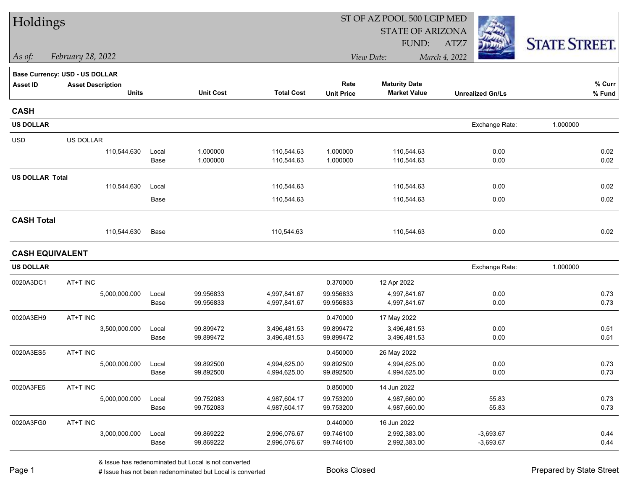| Holdings               |                                |               |                        |                              |                        | ST OF AZ POOL 500 LGIP MED   |                         |                      |
|------------------------|--------------------------------|---------------|------------------------|------------------------------|------------------------|------------------------------|-------------------------|----------------------|
|                        |                                |               |                        |                              |                        | <b>STATE OF ARIZONA</b>      |                         |                      |
|                        |                                |               |                        |                              |                        | FUND:                        | ATZ7                    | <b>STATE STREET.</b> |
| As of:                 | February 28, 2022              |               |                        |                              |                        | View Date:                   | March 4, 2022           |                      |
|                        | Base Currency: USD - US DOLLAR |               |                        |                              |                        |                              |                         |                      |
| <b>Asset ID</b>        | <b>Asset Description</b>       |               |                        |                              | Rate                   | <b>Maturity Date</b>         |                         | % Curr               |
|                        | <b>Units</b>                   |               | <b>Unit Cost</b>       | <b>Total Cost</b>            | <b>Unit Price</b>      | <b>Market Value</b>          | <b>Unrealized Gn/Ls</b> | % Fund               |
| <b>CASH</b>            |                                |               |                        |                              |                        |                              |                         |                      |
| <b>US DOLLAR</b>       |                                |               |                        |                              |                        |                              | Exchange Rate:          | 1.000000             |
| <b>USD</b>             | US DOLLAR                      |               |                        |                              |                        |                              |                         |                      |
|                        | 110,544.630                    | Local         | 1.000000               | 110,544.63                   | 1.000000               | 110,544.63                   | 0.00                    | 0.02                 |
|                        |                                | Base          | 1.000000               | 110,544.63                   | 1.000000               | 110,544.63                   | 0.00                    | 0.02                 |
| <b>US DOLLAR Total</b> |                                |               |                        |                              |                        |                              |                         |                      |
|                        | 110,544.630                    | Local         |                        | 110,544.63                   |                        | 110,544.63                   | 0.00                    | 0.02                 |
|                        |                                | Base          |                        | 110,544.63                   |                        | 110,544.63                   | 0.00                    | 0.02                 |
| <b>CASH Total</b>      |                                |               |                        |                              |                        |                              |                         |                      |
|                        | 110,544.630                    | Base          |                        | 110,544.63                   |                        | 110,544.63                   | 0.00                    | 0.02                 |
| <b>CASH EQUIVALENT</b> |                                |               |                        |                              |                        |                              |                         |                      |
| <b>US DOLLAR</b>       |                                |               |                        |                              |                        |                              | Exchange Rate:          | 1.000000             |
| 0020A3DC1              | AT+T INC                       |               |                        |                              | 0.370000               | 12 Apr 2022                  |                         |                      |
|                        | 5,000,000.000                  | Local         | 99.956833              | 4,997,841.67                 | 99.956833              | 4,997,841.67                 | 0.00                    | 0.73                 |
|                        |                                | Base          | 99.956833              | 4,997,841.67                 | 99.956833              | 4,997,841.67                 | 0.00                    | 0.73                 |
| 0020A3EH9              | AT+T INC                       |               |                        |                              | 0.470000               | 17 May 2022                  |                         |                      |
|                        | 3,500,000.000                  | Local         | 99.899472              | 3,496,481.53                 | 99.899472              | 3,496,481.53                 | 0.00                    | 0.51                 |
|                        |                                | Base          | 99.899472              | 3,496,481.53                 | 99.899472              | 3,496,481.53                 | 0.00                    | 0.51                 |
| 0020A3ES5              | AT+T INC                       |               |                        |                              | 0.450000               | 26 May 2022                  |                         |                      |
|                        | 5,000,000.000                  | Local         | 99.892500              | 4,994,625.00<br>4,994,625.00 | 99.892500              | 4,994,625.00                 | 0.00                    | 0.73<br>0.73         |
|                        |                                | Base          | 99.892500              |                              | 99.892500              | 4,994,625.00                 | 0.00                    |                      |
| 0020A3FE5              | AT+T INC                       |               |                        |                              | 0.850000               | 14 Jun 2022                  |                         |                      |
|                        | 5,000,000.000                  | Local<br>Base | 99.752083<br>99.752083 | 4,987,604.17<br>4,987,604.17 | 99.753200<br>99.753200 | 4,987,660.00<br>4,987,660.00 | 55.83<br>55.83          | 0.73<br>0.73         |
| 0020A3FG0              | AT+T INC                       |               |                        |                              | 0.440000               | 16 Jun 2022                  |                         |                      |
|                        | 3,000,000.000                  | Local         | 99.869222              | 2,996,076.67                 | 99.746100              | 2,992,383.00                 | $-3,693.67$             | 0.44                 |
|                        |                                | Base          | 99.869222              | 2,996,076.67                 | 99.746100              | 2,992,383.00                 | $-3,693.67$             | 0.44                 |
|                        |                                |               |                        |                              |                        |                              |                         |                      |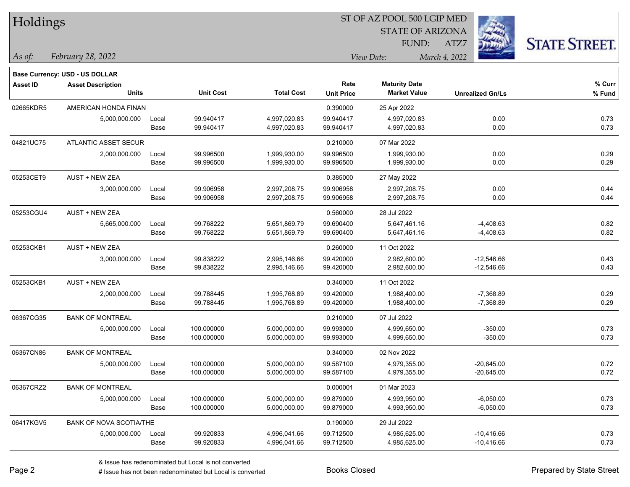| Holdings        |                                       |       |                  |                   |                   | ST OF AZ POOL 500 LGIP MED |                         |                      |  |
|-----------------|---------------------------------------|-------|------------------|-------------------|-------------------|----------------------------|-------------------------|----------------------|--|
|                 |                                       |       |                  |                   |                   | <b>STATE OF ARIZONA</b>    |                         |                      |  |
|                 |                                       |       |                  |                   |                   | FUND:                      | ATZ7                    | <b>STATE STREET.</b> |  |
| $\vert$ As of:  | February 28, 2022                     |       |                  |                   |                   | View Date:                 | March 4, 2022           |                      |  |
|                 | <b>Base Currency: USD - US DOLLAR</b> |       |                  |                   |                   |                            |                         |                      |  |
| <b>Asset ID</b> | <b>Asset Description</b>              |       |                  |                   | Rate              | <b>Maturity Date</b>       |                         | $%$ Curr             |  |
|                 | <b>Units</b>                          |       | <b>Unit Cost</b> | <b>Total Cost</b> | <b>Unit Price</b> | <b>Market Value</b>        | <b>Unrealized Gn/Ls</b> | % Fund               |  |
| 02665KDR5       | AMERICAN HONDA FINAN                  |       |                  |                   | 0.390000          | 25 Apr 2022                |                         |                      |  |
|                 | 5,000,000.000                         | Local | 99.940417        | 4,997,020.83      | 99.940417         | 4,997,020.83               | 0.00                    | 0.73                 |  |
|                 |                                       | Base  | 99.940417        | 4,997,020.83      | 99.940417         | 4,997,020.83               | 0.00                    | 0.73                 |  |
| 04821UC75       | ATLANTIC ASSET SECUR                  |       |                  |                   | 0.210000          | 07 Mar 2022                |                         |                      |  |
|                 | 2,000,000.000                         | Local | 99.996500        | 1,999,930.00      | 99.996500         | 1,999,930.00               | 0.00                    | 0.29                 |  |
|                 |                                       | Base  | 99.996500        | 1,999,930.00      | 99.996500         | 1,999,930.00               | 0.00                    | 0.29                 |  |
| 05253CET9       | <b>AUST + NEW ZEA</b>                 |       |                  |                   | 0.385000          | 27 May 2022                |                         |                      |  |
|                 | 3,000,000.000                         | Local | 99.906958        | 2,997,208.75      | 99.906958         | 2,997,208.75               | 0.00                    | 0.44                 |  |
|                 |                                       | Base  | 99.906958        | 2,997,208.75      | 99.906958         | 2,997,208.75               | 0.00                    | 0.44                 |  |
| 05253CGU4       | <b>AUST + NEW ZEA</b>                 |       |                  |                   | 0.560000          | 28 Jul 2022                |                         |                      |  |
|                 | 5,665,000.000                         | Local | 99.768222        | 5,651,869.79      | 99.690400         | 5,647,461.16               | $-4,408.63$             | 0.82                 |  |
|                 |                                       | Base  | 99.768222        | 5,651,869.79      | 99.690400         | 5,647,461.16               | $-4,408.63$             | 0.82                 |  |
| 05253CKB1       | <b>AUST + NEW ZEA</b>                 |       |                  |                   | 0.260000          | 11 Oct 2022                |                         |                      |  |
|                 | 3,000,000.000                         | Local | 99.838222        | 2,995,146.66      | 99.420000         | 2,982,600.00               | $-12,546.66$            | 0.43                 |  |
|                 |                                       | Base  | 99.838222        | 2,995,146.66      | 99.420000         | 2,982,600.00               | $-12,546.66$            | 0.43                 |  |
| 05253CKB1       | AUST + NEW ZEA                        |       |                  |                   | 0.340000          | 11 Oct 2022                |                         |                      |  |
|                 | 2,000,000.000                         | Local | 99.788445        | 1,995,768.89      | 99.420000         | 1,988,400.00               | $-7,368.89$             | 0.29                 |  |
|                 |                                       | Base  | 99.788445        | 1,995,768.89      | 99.420000         | 1,988,400.00               | $-7,368.89$             | 0.29                 |  |
| 06367CG35       | <b>BANK OF MONTREAL</b>               |       |                  |                   | 0.210000          | 07 Jul 2022                |                         |                      |  |
|                 | 5,000,000.000                         | Local | 100.000000       | 5,000,000.00      | 99.993000         | 4,999,650.00               | $-350.00$               | 0.73                 |  |
|                 |                                       | Base  | 100.000000       | 5,000,000.00      | 99.993000         | 4,999,650.00               | $-350.00$               | 0.73                 |  |
| 06367CN86       | <b>BANK OF MONTREAL</b>               |       |                  |                   | 0.340000          | 02 Nov 2022                |                         |                      |  |
|                 | 5,000,000.000                         | Local | 100.000000       | 5,000,000.00      | 99.587100         | 4,979,355.00               | $-20,645.00$            | 0.72                 |  |
|                 |                                       | Base  | 100.000000       | 5,000,000.00      | 99.587100         | 4,979,355.00               | $-20,645.00$            | 0.72                 |  |
| 06367CRZ2       | <b>BANK OF MONTREAL</b>               |       |                  |                   | 0.000001          | 01 Mar 2023                |                         |                      |  |
|                 | 5,000,000.000                         | Local | 100.000000       | 5,000,000.00      | 99.879000         | 4,993,950.00               | $-6,050.00$             | 0.73                 |  |
|                 |                                       | Base  | 100.000000       | 5,000,000.00      | 99.879000         | 4,993,950.00               | $-6,050.00$             | 0.73                 |  |
| 06417KGV5       | <b>BANK OF NOVA SCOTIA/THE</b>        |       |                  |                   | 0.190000          | 29 Jul 2022                |                         |                      |  |
|                 | 5,000,000.000                         | Local | 99.920833        | 4,996,041.66      | 99.712500         | 4,985,625.00               | $-10,416.66$            | 0.73                 |  |
|                 |                                       | Base  | 99.920833        | 4,996,041.66      | 99.712500         | 4,985,625.00               | $-10,416.66$            | 0.73                 |  |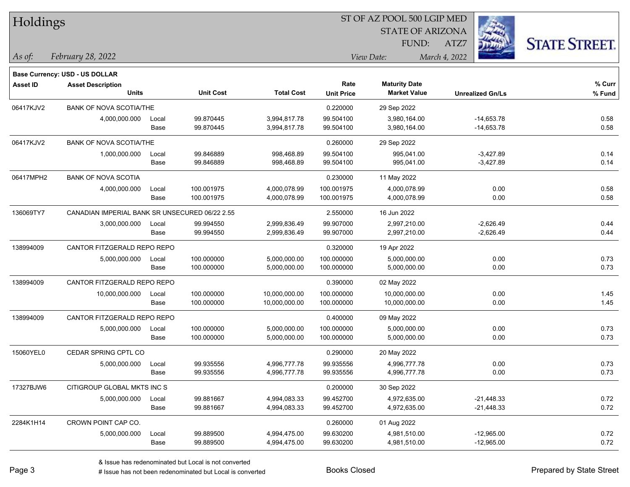| Holdings  |                                                |       |                  |                   | SI OF AZ POOL 500 LGIP MED |                         |                         |                      |  |  |
|-----------|------------------------------------------------|-------|------------------|-------------------|----------------------------|-------------------------|-------------------------|----------------------|--|--|
|           |                                                |       |                  |                   |                            | <b>STATE OF ARIZONA</b> | in.                     |                      |  |  |
|           |                                                |       |                  |                   |                            | FUND:                   | ATZ7                    | <b>STATE STREET.</b> |  |  |
| As of:    | February 28, 2022                              |       |                  |                   |                            | View Date:              | March 4, 2022           |                      |  |  |
|           |                                                |       |                  |                   |                            |                         |                         |                      |  |  |
|           | Base Currency: USD - US DOLLAR                 |       |                  |                   |                            |                         |                         |                      |  |  |
| Asset ID  | <b>Asset Description</b>                       |       |                  |                   | Rate                       | <b>Maturity Date</b>    |                         | % Curr               |  |  |
|           | <b>Units</b>                                   |       | <b>Unit Cost</b> | <b>Total Cost</b> | <b>Unit Price</b>          | <b>Market Value</b>     | <b>Unrealized Gn/Ls</b> | % Fund               |  |  |
| 06417KJV2 | <b>BANK OF NOVA SCOTIA/THE</b>                 |       |                  |                   | 0.220000                   | 29 Sep 2022             |                         |                      |  |  |
|           | 4,000,000.000                                  | Local | 99.870445        | 3,994,817.78      | 99.504100                  | 3,980,164.00            | $-14,653.78$            | 0.58                 |  |  |
|           |                                                | Base  | 99.870445        | 3,994,817.78      | 99.504100                  | 3,980,164.00            | $-14,653.78$            | 0.58                 |  |  |
| 06417KJV2 | <b>BANK OF NOVA SCOTIA/THE</b>                 |       |                  |                   | 0.260000                   | 29 Sep 2022             |                         |                      |  |  |
|           | 1,000,000.000                                  | Local | 99.846889        | 998,468.89        | 99.504100                  | 995,041.00              | $-3,427.89$             | 0.14                 |  |  |
|           |                                                | Base  | 99.846889        | 998,468.89        | 99.504100                  | 995,041.00              | $-3,427.89$             | 0.14                 |  |  |
| 06417MPH2 | <b>BANK OF NOVA SCOTIA</b>                     |       |                  |                   | 0.230000                   | 11 May 2022             |                         |                      |  |  |
|           | 4,000,000.000                                  | Local | 100.001975       | 4,000,078.99      | 100.001975                 | 4,000,078.99            | 0.00                    | 0.58                 |  |  |
|           |                                                | Base  | 100.001975       | 4,000,078.99      | 100.001975                 | 4,000,078.99            | 0.00                    | 0.58                 |  |  |
| 136069TY7 | CANADIAN IMPERIAL BANK SR UNSECURED 06/22 2.55 |       |                  |                   | 2.550000                   | 16 Jun 2022             |                         |                      |  |  |
|           | 3,000,000.000                                  | Local | 99.994550        | 2,999,836.49      | 99.907000                  | 2,997,210.00            | $-2,626.49$             | 0.44                 |  |  |
|           |                                                | Base  | 99.994550        | 2,999,836.49      | 99.907000                  | 2,997,210.00            | $-2,626.49$             | 0.44                 |  |  |
| 138994009 | CANTOR FITZGERALD REPO REPO                    |       |                  |                   | 0.320000                   | 19 Apr 2022             |                         |                      |  |  |
|           | 5,000,000.000                                  | Local | 100.000000       | 5,000,000.00      | 100.000000                 | 5,000,000.00            | 0.00                    | 0.73                 |  |  |
|           |                                                | Base  | 100.000000       | 5,000,000.00      | 100.000000                 | 5,000,000.00            | 0.00                    | 0.73                 |  |  |
| 138994009 | CANTOR FITZGERALD REPO REPO                    |       |                  |                   | 0.390000                   | 02 May 2022             |                         |                      |  |  |
|           | 10,000,000.000                                 | Local | 100.000000       | 10,000,000.00     | 100.000000                 | 10,000,000.00           | 0.00                    | 1.45                 |  |  |
|           |                                                | Base  | 100.000000       | 10,000,000.00     | 100.000000                 | 10,000,000.00           | 0.00                    | 1.45                 |  |  |
| 138994009 | CANTOR FITZGERALD REPO REPO                    |       |                  |                   | 0.400000                   | 09 May 2022             |                         |                      |  |  |
|           | 5,000,000.000                                  | Local | 100.000000       | 5,000,000.00      | 100.000000                 | 5,000,000.00            | 0.00                    | 0.73                 |  |  |
|           |                                                | Base  | 100.000000       | 5,000,000.00      | 100.000000                 | 5,000,000.00            | 0.00                    | 0.73                 |  |  |
| 15060YEL0 | CEDAR SPRING CPTL CO                           |       |                  |                   | 0.290000                   | 20 May 2022             |                         |                      |  |  |
|           | 5,000,000.000                                  | Local | 99.935556        | 4,996,777.78      | 99.935556                  | 4,996,777.78            | 0.00                    | 0.73                 |  |  |
|           |                                                | Base  | 99.935556        | 4,996,777.78      | 99.935556                  | 4,996,777.78            | 0.00                    | 0.73                 |  |  |
| 17327BJW6 | CITIGROUP GLOBAL MKTS INC S                    |       |                  |                   | 0.200000                   | 30 Sep 2022             |                         |                      |  |  |
|           | 5,000,000.000                                  | Local | 99.881667        | 4,994,083.33      | 99.452700                  | 4,972,635.00            | $-21,448.33$            | 0.72                 |  |  |
|           |                                                | Base  | 99.881667        | 4,994,083.33      | 99.452700                  | 4,972,635.00            | $-21,448.33$            | 0.72                 |  |  |
| 2284K1H14 | CROWN POINT CAP CO.                            |       |                  |                   | 0.260000                   | 01 Aug 2022             |                         |                      |  |  |
|           | 5,000,000.000                                  | Local | 99.889500        | 4,994,475.00      | 99.630200                  | 4,981,510.00            | $-12,965.00$            | 0.72                 |  |  |
|           |                                                | Base  | 99.889500        | 4,994,475.00      | 99.630200                  | 4,981,510.00            | $-12,965.00$            | 0.72                 |  |  |
|           |                                                |       |                  |                   |                            |                         |                         |                      |  |  |

 $\overline{B}$   $\overline{B}$   $\overline{B}$   $\overline{B}$   $\overline{C}$   $\overline{D}$   $\overline{D}$   $\overline{D}$   $\overline{D}$   $\overline{D}$   $\overline{D}$   $\overline{D}$   $\overline{D}$   $\overline{D}$   $\overline{D}$   $\overline{D}$   $\overline{D}$   $\overline{D}$   $\overline{D}$   $\overline{D}$   $\overline{D}$   $\overline{D}$   $\overline{D}$   $\overline{D}$   $\overline{$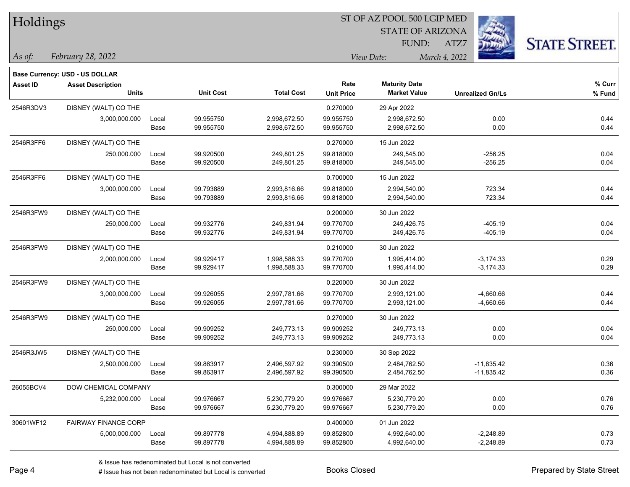| Holdings        |                                          |       |                  |                   |                   |                         |                         |                      |
|-----------------|------------------------------------------|-------|------------------|-------------------|-------------------|-------------------------|-------------------------|----------------------|
|                 |                                          |       |                  |                   |                   | <b>STATE OF ARIZONA</b> |                         |                      |
|                 |                                          |       |                  |                   |                   | FUND:                   | ATZ7                    | <b>STATE STREET.</b> |
| $\vert$ As of:  | February 28, 2022                        |       |                  |                   |                   | View Date:              | March 4, 2022           |                      |
|                 |                                          |       |                  |                   |                   |                         |                         |                      |
|                 | Base Currency: USD - US DOLLAR           |       |                  |                   | Rate              | <b>Maturity Date</b>    |                         | $%$ Curr             |
| <b>Asset ID</b> | <b>Asset Description</b><br><b>Units</b> |       | <b>Unit Cost</b> | <b>Total Cost</b> | <b>Unit Price</b> | <b>Market Value</b>     | <b>Unrealized Gn/Ls</b> | % Fund               |
| 2546R3DV3       | DISNEY (WALT) CO THE                     |       |                  |                   | 0.270000          | 29 Apr 2022             |                         |                      |
|                 | 3,000,000.000                            | Local | 99.955750        | 2,998,672.50      | 99.955750         | 2,998,672.50            | 0.00                    | 0.44                 |
|                 |                                          | Base  | 99.955750        | 2,998,672.50      | 99.955750         | 2,998,672.50            | 0.00                    | 0.44                 |
| 2546R3FF6       | DISNEY (WALT) CO THE                     |       |                  |                   | 0.270000          | 15 Jun 2022             |                         |                      |
|                 | 250,000.000                              | Local | 99.920500        | 249,801.25        | 99.818000         | 249,545.00              | $-256.25$               | 0.04                 |
|                 |                                          | Base  | 99.920500        | 249,801.25        | 99.818000         | 249,545.00              | $-256.25$               | 0.04                 |
| 2546R3FF6       | DISNEY (WALT) CO THE                     |       |                  |                   | 0.700000          | 15 Jun 2022             |                         |                      |
|                 | 3,000,000.000                            | Local | 99.793889        | 2,993,816.66      | 99.818000         | 2,994,540.00            | 723.34                  | 0.44                 |
|                 |                                          | Base  | 99.793889        | 2,993,816.66      | 99.818000         | 2,994,540.00            | 723.34                  | 0.44                 |
| 2546R3FW9       | DISNEY (WALT) CO THE                     |       |                  |                   | 0.200000          | 30 Jun 2022             |                         |                      |
|                 | 250,000.000                              | Local | 99.932776        | 249,831.94        | 99.770700         | 249,426.75              | $-405.19$               | 0.04                 |
|                 |                                          | Base  | 99.932776        | 249,831.94        | 99.770700         | 249,426.75              | $-405.19$               | 0.04                 |
| 2546R3FW9       | DISNEY (WALT) CO THE                     |       |                  |                   | 0.210000          | 30 Jun 2022             |                         |                      |
|                 | 2,000,000.000                            | Local | 99.929417        | 1,998,588.33      | 99.770700         | 1,995,414.00            | $-3,174.33$             | 0.29                 |
|                 |                                          | Base  | 99.929417        | 1,998,588.33      | 99.770700         | 1,995,414.00            | $-3,174.33$             | 0.29                 |
| 2546R3FW9       | DISNEY (WALT) CO THE                     |       |                  |                   | 0.220000          | 30 Jun 2022             |                         |                      |
|                 | 3,000,000.000                            | Local | 99.926055        | 2,997,781.66      | 99.770700         | 2,993,121.00            | $-4,660.66$             | 0.44                 |
|                 |                                          | Base  | 99.926055        | 2,997,781.66      | 99.770700         | 2,993,121.00            | $-4,660.66$             | 0.44                 |
| 2546R3FW9       | DISNEY (WALT) CO THE                     |       |                  |                   | 0.270000          | 30 Jun 2022             |                         |                      |
|                 | 250,000.000                              | Local | 99.909252        | 249,773.13        | 99.909252         | 249,773.13              | 0.00                    | 0.04                 |
|                 |                                          | Base  | 99.909252        | 249,773.13        | 99.909252         | 249,773.13              | 0.00                    | 0.04                 |
| 2546R3JW5       | DISNEY (WALT) CO THE                     |       |                  |                   | 0.230000          | 30 Sep 2022             |                         |                      |
|                 | 2,500,000.000                            | Local | 99.863917        | 2,496,597.92      | 99.390500         | 2,484,762.50            | $-11,835.42$            | 0.36                 |
|                 |                                          | Base  | 99.863917        | 2,496,597.92      | 99.390500         | 2,484,762.50            | $-11,835.42$            | 0.36                 |
| 26055BCV4       | DOW CHEMICAL COMPANY                     |       |                  |                   | 0.300000          | 29 Mar 2022             |                         |                      |
|                 | 5,232,000.000                            | Local | 99.976667        | 5,230,779.20      | 99.976667         | 5,230,779.20            | 0.00                    | 0.76                 |
|                 |                                          | Base  | 99.976667        | 5,230,779.20      | 99.976667         | 5,230,779.20            | 0.00                    | 0.76                 |
| 30601WF12       | <b>FAIRWAY FINANCE CORP</b>              |       |                  |                   | 0.400000          | 01 Jun 2022             |                         |                      |
|                 | 5,000,000.000                            | Local | 99.897778        | 4,994,888.89      | 99.852800         | 4,992,640.00            | $-2,248.89$             | 0.73                 |
|                 |                                          | Base  | 99.897778        | 4,994,888.89      | 99.852800         | 4,992,640.00            | $-2,248.89$             | 0.73                 |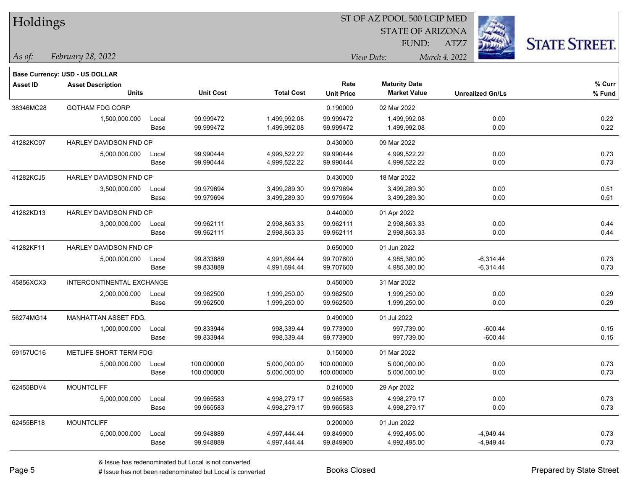| Holdings        |                                       |       |                  |                   | 51 OF AZ POOL 500 LGIP MED |                         |                         |                      |  |  |
|-----------------|---------------------------------------|-------|------------------|-------------------|----------------------------|-------------------------|-------------------------|----------------------|--|--|
|                 |                                       |       |                  |                   |                            | <b>STATE OF ARIZONA</b> |                         |                      |  |  |
|                 |                                       |       |                  |                   |                            | FUND:                   | ATZ7                    | <b>STATE STREET.</b> |  |  |
| As of:          | February 28, 2022                     |       |                  |                   |                            | View Date:              | March 4, 2022           |                      |  |  |
|                 |                                       |       |                  |                   |                            |                         |                         |                      |  |  |
|                 | <b>Base Currency: USD - US DOLLAR</b> |       |                  |                   |                            |                         |                         |                      |  |  |
| <b>Asset ID</b> | <b>Asset Description</b>              |       |                  |                   | Rate                       | <b>Maturity Date</b>    |                         | $%$ Curr             |  |  |
|                 | <b>Units</b>                          |       | <b>Unit Cost</b> | <b>Total Cost</b> | <b>Unit Price</b>          | <b>Market Value</b>     | <b>Unrealized Gn/Ls</b> | % Fund               |  |  |
| 38346MC28       | <b>GOTHAM FDG CORP</b>                |       |                  |                   | 0.190000                   | 02 Mar 2022             |                         |                      |  |  |
|                 | 1,500,000.000                         | Local | 99.999472        | 1,499,992.08      | 99.999472                  | 1,499,992.08            | 0.00                    | 0.22                 |  |  |
|                 |                                       | Base  | 99.999472        | 1,499,992.08      | 99.999472                  | 1,499,992.08            | 0.00                    | 0.22                 |  |  |
| 41282KC97       | HARLEY DAVIDSON FND CP                |       |                  |                   | 0.430000                   | 09 Mar 2022             |                         |                      |  |  |
|                 | 5,000,000.000                         | Local | 99.990444        | 4,999,522.22      | 99.990444                  | 4,999,522.22            | 0.00                    | 0.73                 |  |  |
|                 |                                       | Base  | 99.990444        | 4,999,522.22      | 99.990444                  | 4,999,522.22            | 0.00                    | 0.73                 |  |  |
| 41282KCJ5       | HARLEY DAVIDSON FND CP                |       |                  |                   | 0.430000                   | 18 Mar 2022             |                         |                      |  |  |
|                 | 3,500,000.000                         | Local | 99.979694        | 3,499,289.30      | 99.979694                  | 3,499,289.30            | 0.00                    | 0.51                 |  |  |
|                 |                                       | Base  | 99.979694        | 3,499,289.30      | 99.979694                  | 3,499,289.30            | 0.00                    | 0.51                 |  |  |
| 41282KD13       | HARLEY DAVIDSON FND CP                |       |                  |                   | 0.440000                   | 01 Apr 2022             |                         |                      |  |  |
|                 | 3,000,000.000                         | Local | 99.962111        | 2,998,863.33      | 99.962111                  | 2,998,863.33            | 0.00                    | 0.44                 |  |  |
|                 |                                       | Base  | 99.962111        | 2,998,863.33      | 99.962111                  | 2,998,863.33            | 0.00                    | 0.44                 |  |  |
| 41282KF11       | HARLEY DAVIDSON FND CP                |       |                  |                   | 0.650000                   | 01 Jun 2022             |                         |                      |  |  |
|                 | 5,000,000.000                         | Local | 99.833889        | 4,991,694.44      | 99.707600                  | 4,985,380.00            | $-6,314.44$             | 0.73                 |  |  |
|                 |                                       | Base  | 99.833889        | 4,991,694.44      | 99.707600                  | 4,985,380.00            | $-6,314.44$             | 0.73                 |  |  |
| 45856XCX3       | INTERCONTINENTAL EXCHANGE             |       |                  |                   | 0.450000                   | 31 Mar 2022             |                         |                      |  |  |
|                 | 2,000,000.000                         | Local | 99.962500        | 1,999,250.00      | 99.962500                  | 1,999,250.00            | 0.00                    | 0.29                 |  |  |
|                 |                                       | Base  | 99.962500        | 1,999,250.00      | 99.962500                  | 1,999,250.00            | 0.00                    | 0.29                 |  |  |
| 56274MG14       | MANHATTAN ASSET FDG.                  |       |                  |                   | 0.490000                   | 01 Jul 2022             |                         |                      |  |  |
|                 | 1,000,000.000                         | Local | 99.833944        | 998,339.44        | 99.773900                  | 997,739.00              | $-600.44$               | 0.15                 |  |  |
|                 |                                       | Base  | 99.833944        | 998,339.44        | 99.773900                  | 997,739.00              | $-600.44$               | 0.15                 |  |  |
| 59157UC16       | METLIFE SHORT TERM FDG                |       |                  |                   | 0.150000                   | 01 Mar 2022             |                         |                      |  |  |
|                 | 5,000,000.000                         | Local | 100.000000       | 5,000,000.00      | 100.000000                 | 5,000,000.00            | 0.00                    | 0.73                 |  |  |
|                 |                                       | Base  | 100.000000       | 5,000,000.00      | 100.000000                 | 5,000,000.00            | 0.00                    | 0.73                 |  |  |
| 62455BDV4       | <b>MOUNTCLIFF</b>                     |       |                  |                   | 0.210000                   | 29 Apr 2022             |                         |                      |  |  |
|                 | 5,000,000.000                         | Local | 99.965583        | 4,998,279.17      | 99.965583                  | 4,998,279.17            | 0.00                    | 0.73                 |  |  |
|                 |                                       | Base  | 99.965583        | 4,998,279.17      | 99.965583                  | 4,998,279.17            | 0.00                    | 0.73                 |  |  |
| 62455BF18       | <b>MOUNTCLIFF</b>                     |       |                  |                   | 0.200000                   | 01 Jun 2022             |                         |                      |  |  |
|                 | 5,000,000.000                         | Local | 99.948889        | 4,997,444.44      | 99.849900                  | 4,992,495.00            | $-4,949.44$             | 0.73                 |  |  |
|                 |                                       | Base  | 99.948889        | 4,997,444.44      | 99.849900                  | 4,992,495.00            | $-4,949.44$             | 0.73                 |  |  |

 $\overline{\text{SP } \overline{\text{SP } \text{O}}$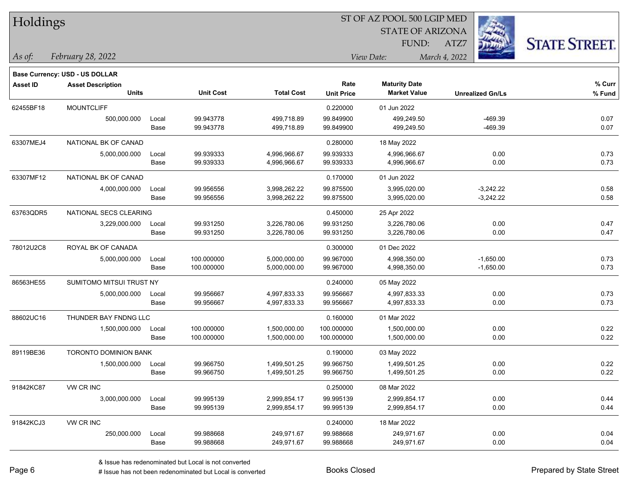| Holdings        |                                |       |                  |                   | ST OF AZ POOL 500 LGIP MED |                         |                         |                      |  |  |
|-----------------|--------------------------------|-------|------------------|-------------------|----------------------------|-------------------------|-------------------------|----------------------|--|--|
|                 |                                |       |                  |                   |                            | <b>STATE OF ARIZONA</b> |                         |                      |  |  |
|                 |                                |       |                  |                   |                            | FUND:                   | ATZ7                    | <b>STATE STREET.</b> |  |  |
| As of:          | February 28, 2022              |       |                  |                   |                            | View Date:              | March 4, 2022           |                      |  |  |
|                 | Base Currency: USD - US DOLLAR |       |                  |                   |                            |                         |                         |                      |  |  |
| <b>Asset ID</b> | <b>Asset Description</b>       |       |                  |                   | Rate                       | <b>Maturity Date</b>    |                         | % Curr               |  |  |
|                 | <b>Units</b>                   |       | <b>Unit Cost</b> | <b>Total Cost</b> | <b>Unit Price</b>          | <b>Market Value</b>     | <b>Unrealized Gn/Ls</b> | % Fund               |  |  |
| 62455BF18       | <b>MOUNTCLIFF</b>              |       |                  |                   | 0.220000                   | 01 Jun 2022             |                         |                      |  |  |
|                 | 500,000.000                    | Local | 99.943778        | 499,718.89        | 99.849900                  | 499.249.50              | $-469.39$               | 0.07                 |  |  |
|                 |                                | Base  | 99.943778        | 499,718.89        | 99.849900                  | 499,249.50              | $-469.39$               | 0.07                 |  |  |
| 63307MEJ4       | NATIONAL BK OF CANAD           |       |                  |                   | 0.280000                   | 18 May 2022             |                         |                      |  |  |
|                 | 5,000,000.000                  | Local | 99.939333        | 4,996,966.67      | 99.939333                  | 4,996,966.67            | 0.00                    | 0.73                 |  |  |
|                 |                                | Base  | 99.939333        | 4,996,966.67      | 99.939333                  | 4,996,966.67            | 0.00                    | 0.73                 |  |  |
| 63307MF12       | NATIONAL BK OF CANAD           |       |                  |                   | 0.170000                   | 01 Jun 2022             |                         |                      |  |  |
|                 | 4,000,000.000                  | Local | 99.956556        | 3,998,262.22      | 99.875500                  | 3,995,020.00            | $-3,242.22$             | 0.58                 |  |  |
|                 |                                | Base  | 99.956556        | 3,998,262.22      | 99.875500                  | 3,995,020.00            | $-3,242.22$             | 0.58                 |  |  |
| 63763QDR5       | NATIONAL SECS CLEARING         |       |                  |                   | 0.450000                   | 25 Apr 2022             |                         |                      |  |  |
|                 | 3,229,000.000                  | Local | 99.931250        | 3,226,780.06      | 99.931250                  | 3,226,780.06            | 0.00                    | 0.47                 |  |  |
|                 |                                | Base  | 99.931250        | 3,226,780.06      | 99.931250                  | 3,226,780.06            | 0.00                    | 0.47                 |  |  |
| 78012U2C8       | ROYAL BK OF CANADA             |       |                  |                   | 0.300000                   | 01 Dec 2022             |                         |                      |  |  |
|                 | 5,000,000.000                  | Local | 100.000000       | 5,000,000.00      | 99.967000                  | 4,998,350.00            | $-1,650.00$             | 0.73                 |  |  |
|                 |                                | Base  | 100.000000       | 5,000,000.00      | 99.967000                  | 4,998,350.00            | $-1,650.00$             | 0.73                 |  |  |
| 86563HE55       | SUMITOMO MITSUI TRUST NY       |       |                  |                   | 0.240000                   | 05 May 2022             |                         |                      |  |  |
|                 | 5,000,000.000                  | Local | 99.956667        | 4,997,833.33      | 99.956667                  | 4,997,833.33            | 0.00                    | 0.73                 |  |  |
|                 |                                | Base  | 99.956667        | 4,997,833.33      | 99.956667                  | 4,997,833.33            | 0.00                    | 0.73                 |  |  |
| 88602UC16       | THUNDER BAY FNDNG LLC          |       |                  |                   | 0.160000                   | 01 Mar 2022             |                         |                      |  |  |
|                 | 1,500,000.000                  | Local | 100.000000       | 1,500,000.00      | 100.000000                 | 1,500,000.00            | 0.00                    | 0.22                 |  |  |
|                 |                                | Base  | 100.000000       | 1,500,000.00      | 100.000000                 | 1,500,000.00            | 0.00                    | 0.22                 |  |  |
| 89119BE36       | <b>TORONTO DOMINION BANK</b>   |       |                  |                   | 0.190000                   | 03 May 2022             |                         |                      |  |  |
|                 | 1,500,000.000                  | Local | 99.966750        | 1,499,501.25      | 99.966750                  | 1,499,501.25            | 0.00                    | 0.22                 |  |  |
|                 |                                | Base  | 99.966750        | 1,499,501.25      | 99.966750                  | 1,499,501.25            | 0.00                    | 0.22                 |  |  |
| 91842KC87       | VW CR INC                      |       |                  |                   | 0.250000                   | 08 Mar 2022             |                         |                      |  |  |
|                 | 3,000,000.000                  | Local | 99.995139        | 2,999,854.17      | 99.995139                  | 2,999,854.17            | 0.00                    | 0.44                 |  |  |
|                 |                                | Base  | 99.995139        | 2,999,854.17      | 99.995139                  | 2,999,854.17            | 0.00                    | 0.44                 |  |  |
| 91842KCJ3       | VW CR INC                      |       |                  |                   | 0.240000                   | 18 Mar 2022             |                         |                      |  |  |
|                 | 250,000.000                    | Local | 99.988668        | 249,971.67        | 99.988668                  | 249,971.67              | 0.00                    | 0.04                 |  |  |
|                 |                                | Base  | 99.988668        | 249,971.67        | 99.988668                  | 249,971.67              | 0.00                    | 0.04                 |  |  |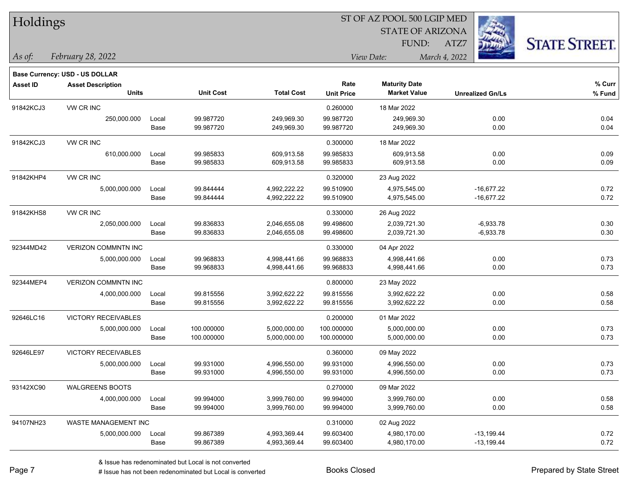| Holdings        |                                       |       |                  |                   |                   |                         |                         |                      |
|-----------------|---------------------------------------|-------|------------------|-------------------|-------------------|-------------------------|-------------------------|----------------------|
|                 |                                       |       |                  |                   |                   | <b>STATE OF ARIZONA</b> |                         |                      |
|                 |                                       |       |                  |                   |                   | FUND:                   | ATZ7                    | <b>STATE STREET.</b> |
| As of:          | February 28, 2022                     |       |                  |                   |                   | View Date:              | March 4, 2022           |                      |
|                 | <b>Base Currency: USD - US DOLLAR</b> |       |                  |                   |                   |                         |                         |                      |
| <b>Asset ID</b> | <b>Asset Description</b>              |       |                  |                   | Rate              | <b>Maturity Date</b>    |                         | % Curr               |
|                 | <b>Units</b>                          |       | <b>Unit Cost</b> | <b>Total Cost</b> | <b>Unit Price</b> | <b>Market Value</b>     | <b>Unrealized Gn/Ls</b> | % Fund               |
| 91842KCJ3       | VW CR INC                             |       |                  |                   | 0.260000          | 18 Mar 2022             |                         |                      |
|                 | 250,000.000                           | Local | 99.987720        | 249,969.30        | 99.987720         | 249,969.30              | 0.00                    | 0.04                 |
|                 |                                       | Base  | 99.987720        | 249,969.30        | 99.987720         | 249,969.30              | 0.00                    | 0.04                 |
| 91842KCJ3       | VW CR INC                             |       |                  |                   | 0.300000          | 18 Mar 2022             |                         |                      |
|                 | 610,000.000                           | Local | 99.985833        | 609,913.58        | 99.985833         | 609,913.58              | 0.00                    | 0.09                 |
|                 |                                       | Base  | 99.985833        | 609,913.58        | 99.985833         | 609,913.58              | 0.00                    | 0.09                 |
| 91842KHP4       | VW CR INC                             |       |                  |                   | 0.320000          | 23 Aug 2022             |                         |                      |
|                 | 5,000,000.000                         | Local | 99.844444        | 4,992,222.22      | 99.510900         | 4,975,545.00            | $-16,677.22$            | 0.72                 |
|                 |                                       | Base  | 99.844444        | 4,992,222.22      | 99.510900         | 4,975,545.00            | $-16,677.22$            | 0.72                 |
| 91842KHS8       | <b>VW CR INC</b>                      |       |                  |                   | 0.330000          | 26 Aug 2022             |                         |                      |
|                 | 2,050,000.000                         | Local | 99.836833        | 2,046,655.08      | 99.498600         | 2,039,721.30            | $-6,933.78$             | 0.30                 |
|                 |                                       | Base  | 99.836833        | 2,046,655.08      | 99.498600         | 2,039,721.30            | $-6,933.78$             | 0.30                 |
| 92344MD42       | <b>VERIZON COMMNTN INC</b>            |       |                  |                   | 0.330000          | 04 Apr 2022             |                         |                      |
|                 | 5,000,000.000                         | Local | 99.968833        | 4,998,441.66      | 99.968833         | 4,998,441.66            | 0.00                    | 0.73                 |
|                 |                                       | Base  | 99.968833        | 4,998,441.66      | 99.968833         | 4,998,441.66            | 0.00                    | 0.73                 |
| 92344MEP4       | VERIZON COMMNTN INC                   |       |                  |                   | 0.800000          | 23 May 2022             |                         |                      |
|                 | 4,000,000.000                         | Local | 99.815556        | 3,992,622.22      | 99.815556         | 3,992,622.22            | 0.00                    | 0.58                 |
|                 |                                       | Base  | 99.815556        | 3,992,622.22      | 99.815556         | 3,992,622.22            | 0.00                    | 0.58                 |
| 92646LC16       | <b>VICTORY RECEIVABLES</b>            |       |                  |                   | 0.200000          | 01 Mar 2022             |                         |                      |
|                 | 5,000,000.000                         | Local | 100.000000       | 5,000,000.00      | 100.000000        | 5,000,000.00            | 0.00                    | 0.73                 |
|                 |                                       | Base  | 100.000000       | 5,000,000.00      | 100.000000        | 5,000,000.00            | 0.00                    | 0.73                 |
| 92646LE97       | <b>VICTORY RECEIVABLES</b>            |       |                  |                   | 0.360000          | 09 May 2022             |                         |                      |
|                 | 5,000,000.000                         | Local | 99.931000        | 4,996,550.00      | 99.931000         | 4,996,550.00            | 0.00                    | 0.73                 |
|                 |                                       | Base  | 99.931000        | 4,996,550.00      | 99.931000         | 4,996,550.00            | 0.00                    | 0.73                 |
| 93142XC90       | <b>WALGREENS BOOTS</b>                |       |                  |                   | 0.270000          | 09 Mar 2022             |                         |                      |
|                 | 4,000,000.000                         | Local | 99.994000        | 3,999,760.00      | 99.994000         | 3,999,760.00            | 0.00                    | 0.58                 |
|                 |                                       | Base  | 99.994000        | 3,999,760.00      | 99.994000         | 3,999,760.00            | 0.00                    | 0.58                 |
| 94107NH23       | WASTE MANAGEMENT INC                  |       |                  |                   | 0.310000          | 02 Aug 2022             |                         |                      |
|                 | 5,000,000.000                         | Local | 99.867389        | 4,993,369.44      | 99.603400         | 4,980,170.00            | $-13,199.44$            | 0.72                 |
|                 |                                       | Base  | 99.867389        | 4,993,369.44      | 99.603400         | 4,980,170.00            | $-13,199.44$            | 0.72                 |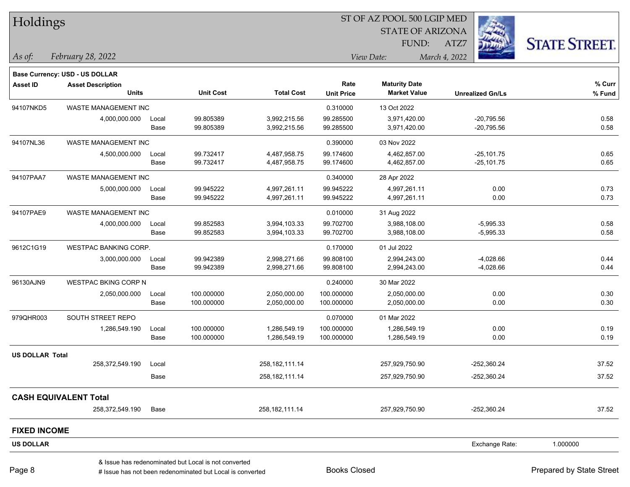| Holdings               |                                |       |                                                      |                   |                   | ST OF AZ POOL 500 LGIP MED |                         |                      |  |
|------------------------|--------------------------------|-------|------------------------------------------------------|-------------------|-------------------|----------------------------|-------------------------|----------------------|--|
|                        |                                |       |                                                      |                   |                   | <b>STATE OF ARIZONA</b>    |                         |                      |  |
|                        |                                |       |                                                      |                   |                   | FUND:                      | ATZ7                    | <b>STATE STREET.</b> |  |
| $ $ As of:             | February 28, 2022              |       |                                                      |                   |                   | View Date:                 | March 4, 2022           |                      |  |
|                        | Base Currency: USD - US DOLLAR |       |                                                      |                   |                   |                            |                         |                      |  |
| <b>Asset ID</b>        | <b>Asset Description</b>       |       |                                                      |                   | Rate              | <b>Maturity Date</b>       |                         | % Curr               |  |
|                        | <b>Units</b>                   |       | <b>Unit Cost</b>                                     | <b>Total Cost</b> | <b>Unit Price</b> | <b>Market Value</b>        | <b>Unrealized Gn/Ls</b> | % Fund               |  |
| 94107NKD5              | WASTE MANAGEMENT INC           |       |                                                      |                   | 0.310000          | 13 Oct 2022                |                         |                      |  |
|                        | 4,000,000.000                  | Local | 99.805389                                            | 3,992,215.56      | 99.285500         | 3,971,420.00               | $-20,795.56$            | 0.58                 |  |
|                        |                                | Base  | 99.805389                                            | 3,992,215.56      | 99.285500         | 3,971,420.00               | $-20,795.56$            | 0.58                 |  |
| 94107NL36              | WASTE MANAGEMENT INC           |       |                                                      |                   | 0.390000          | 03 Nov 2022                |                         |                      |  |
|                        | 4,500,000.000                  | Local | 99.732417                                            | 4,487,958.75      | 99.174600         | 4,462,857.00               | $-25,101.75$            | 0.65                 |  |
|                        |                                | Base  | 99.732417                                            | 4,487,958.75      | 99.174600         | 4,462,857.00               | $-25,101.75$            | 0.65                 |  |
| 94107PAA7              | WASTE MANAGEMENT INC           |       |                                                      |                   | 0.340000          | 28 Apr 2022                |                         |                      |  |
|                        | 5,000,000.000                  | Local | 99.945222                                            | 4,997,261.11      | 99.945222         | 4,997,261.11               | 0.00                    | 0.73                 |  |
|                        |                                | Base  | 99.945222                                            | 4,997,261.11      | 99.945222         | 4,997,261.11               | 0.00                    | 0.73                 |  |
| 94107PAE9              | WASTE MANAGEMENT INC           |       |                                                      |                   | 0.010000          | 31 Aug 2022                |                         |                      |  |
|                        | 4,000,000.000                  | Local | 99.852583                                            | 3,994,103.33      | 99.702700         | 3,988,108.00               | $-5,995.33$             | 0.58                 |  |
|                        |                                | Base  | 99.852583                                            | 3,994,103.33      | 99.702700         | 3,988,108.00               | $-5,995.33$             | 0.58                 |  |
| 9612C1G19              | <b>WESTPAC BANKING CORP.</b>   |       |                                                      |                   | 0.170000          | 01 Jul 2022                |                         |                      |  |
|                        | 3,000,000.000                  | Local | 99.942389                                            | 2,998,271.66      | 99.808100         | 2,994,243.00               | $-4,028.66$             | 0.44                 |  |
|                        |                                | Base  | 99.942389                                            | 2,998,271.66      | 99.808100         | 2,994,243.00               | $-4,028.66$             | 0.44                 |  |
| 96130AJN9              | <b>WESTPAC BKING CORP N</b>    |       |                                                      |                   | 0.240000          | 30 Mar 2022                |                         |                      |  |
|                        | 2,050,000.000                  | Local | 100.000000                                           | 2,050,000.00      | 100.000000        | 2,050,000.00               | 0.00                    | 0.30                 |  |
|                        |                                | Base  | 100.000000                                           | 2,050,000.00      | 100.000000        | 2,050,000.00               | 0.00                    | 0.30                 |  |
| 979QHR003              | SOUTH STREET REPO              |       |                                                      |                   | 0.070000          | 01 Mar 2022                |                         |                      |  |
|                        | 1,286,549.190                  | Local | 100.000000                                           | 1,286,549.19      | 100.000000        | 1,286,549.19               | 0.00                    | 0.19                 |  |
|                        |                                | Base  | 100.000000                                           | 1,286,549.19      | 100.000000        | 1,286,549.19               | 0.00                    | 0.19                 |  |
| <b>US DOLLAR Total</b> |                                |       |                                                      |                   |                   |                            |                         |                      |  |
|                        | 258,372,549.190                | Local |                                                      | 258, 182, 111. 14 |                   | 257,929,750.90             | $-252,360.24$           | 37.52                |  |
|                        |                                | Base  |                                                      | 258,182,111.14    |                   | 257,929,750.90             | $-252,360.24$           | 37.52                |  |
|                        | <b>CASH EQUIVALENT Total</b>   |       |                                                      |                   |                   |                            |                         |                      |  |
|                        | 258,372,549.190                | Base  |                                                      | 258, 182, 111.14  |                   | 257,929,750.90             | $-252,360.24$           | 37.52                |  |
| <b>FIXED INCOME</b>    |                                |       |                                                      |                   |                   |                            |                         |                      |  |
| <b>US DOLLAR</b>       |                                |       |                                                      |                   |                   |                            | Exchange Rate:          | 1.000000             |  |
|                        |                                |       | & Issue has redenominated but Local is not converted |                   |                   |                            |                         |                      |  |

# Issue has not been redenominated but Local is converted Books Closed Prepared by State Street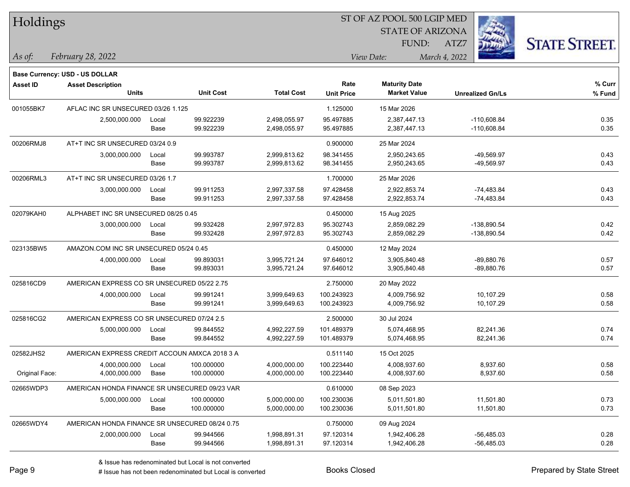|  |  | Holdings |
|--|--|----------|
|--|--|----------|

STATE OF ARIZONA FUND:



*February 28, 2022 As of: View Date: March 4, 2022*

**Base Currency: USD - US DOLLAR**

ATZ7

| <b>Asset ID</b> | <b>Asset Description</b>                       |       |                  |                   | Rate              | <b>Maturity Date</b> |                         | % Curr |
|-----------------|------------------------------------------------|-------|------------------|-------------------|-------------------|----------------------|-------------------------|--------|
|                 | <b>Units</b>                                   |       | <b>Unit Cost</b> | <b>Total Cost</b> | <b>Unit Price</b> | <b>Market Value</b>  | <b>Unrealized Gn/Ls</b> | % Fund |
| 001055BK7       | AFLAC INC SR UNSECURED 03/26 1.125             |       |                  |                   | 1.125000          | 15 Mar 2026          |                         |        |
|                 | 2,500,000.000                                  | Local | 99.922239        | 2,498,055.97      | 95.497885         | 2,387,447.13         | $-110,608.84$           | 0.35   |
|                 |                                                | Base  | 99.922239        | 2,498,055.97      | 95.497885         | 2,387,447.13         | $-110,608.84$           | 0.35   |
| 00206RMJ8       | AT+T INC SR UNSECURED 03/24 0.9                |       |                  |                   | 0.900000          | 25 Mar 2024          |                         |        |
|                 | 3,000,000.000                                  | Local | 99.993787        | 2,999,813.62      | 98.341455         | 2,950,243.65         | -49,569.97              | 0.43   |
|                 |                                                | Base  | 99.993787        | 2,999,813.62      | 98.341455         | 2,950,243.65         | -49,569.97              | 0.43   |
| 00206RML3       | AT+T INC SR UNSECURED 03/26 1.7                |       |                  |                   | 1.700000          | 25 Mar 2026          |                         |        |
|                 | 3,000,000.000                                  | Local | 99.911253        | 2,997,337.58      | 97.428458         | 2,922,853.74         | -74,483.84              | 0.43   |
|                 |                                                | Base  | 99.911253        | 2,997,337.58      | 97.428458         | 2,922,853.74         | -74,483.84              | 0.43   |
| 02079KAH0       | ALPHABET INC SR UNSECURED 08/25 0.45           |       |                  |                   | 0.450000          | 15 Aug 2025          |                         |        |
|                 | 3,000,000.000                                  | Local | 99.932428        | 2,997,972.83      | 95.302743         | 2,859,082.29         | -138,890.54             | 0.42   |
|                 |                                                | Base  | 99.932428        | 2,997,972.83      | 95.302743         | 2,859,082.29         | -138,890.54             | 0.42   |
| 023135BW5       | AMAZON.COM INC SR UNSECURED 05/24 0.45         |       |                  |                   | 0.450000          | 12 May 2024          |                         |        |
|                 | 4,000,000.000                                  | Local | 99.893031        | 3,995,721.24      | 97.646012         | 3,905,840.48         | $-89,880.76$            | 0.57   |
|                 |                                                | Base  | 99.893031        | 3,995,721.24      | 97.646012         | 3,905,840.48         | $-89,880.76$            | 0.57   |
| 025816CD9       | AMERICAN EXPRESS CO SR UNSECURED 05/22 2.75    |       |                  |                   | 2.750000          | 20 May 2022          |                         |        |
|                 | 4,000,000.000                                  | Local | 99.991241        | 3,999,649.63      | 100.243923        | 4,009,756.92         | 10,107.29               | 0.58   |
|                 |                                                | Base  | 99.991241        | 3,999,649.63      | 100.243923        | 4,009,756.92         | 10,107.29               | 0.58   |
| 025816CG2       | AMERICAN EXPRESS CO SR UNSECURED 07/24 2.5     |       |                  |                   | 2.500000          | 30 Jul 2024          |                         |        |
|                 | 5,000,000.000                                  | Local | 99.844552        | 4,992,227.59      | 101.489379        | 5,074,468.95         | 82,241.36               | 0.74   |
|                 |                                                | Base  | 99.844552        | 4,992,227.59      | 101.489379        | 5,074,468.95         | 82,241.36               | 0.74   |
| 02582JHS2       | AMERICAN EXPRESS CREDIT ACCOUN AMXCA 2018 3 A  |       |                  |                   | 0.511140          | 15 Oct 2025          |                         |        |
|                 | 4,000,000.000                                  | Local | 100.000000       | 4,000,000.00      | 100.223440        | 4,008,937.60         | 8,937.60                | 0.58   |
| Original Face:  | 4,000,000.000                                  | Base  | 100.000000       | 4,000,000.00      | 100.223440        | 4,008,937.60         | 8,937.60                | 0.58   |
| 02665WDP3       | AMERICAN HONDA FINANCE SR UNSECURED 09/23 VAR  |       |                  |                   | 0.610000          | 08 Sep 2023          |                         |        |
|                 | 5,000,000.000                                  | Local | 100.000000       | 5,000,000.00      | 100.230036        | 5,011,501.80         | 11,501.80               | 0.73   |
|                 |                                                | Base  | 100.000000       | 5,000,000.00      | 100.230036        | 5,011,501.80         | 11,501.80               | 0.73   |
| 02665WDY4       | AMERICAN HONDA FINANCE SR UNSECURED 08/24 0.75 |       |                  |                   | 0.750000          | 09 Aug 2024          |                         |        |
|                 | 2,000,000.000                                  | Local | 99.944566        | 1,998,891.31      | 97.120314         | 1,942,406.28         | -56,485.03              | 0.28   |
|                 |                                                | Base  | 99.944566        | 1,998,891.31      | 97.120314         | 1,942,406.28         | $-56,485.03$            | 0.28   |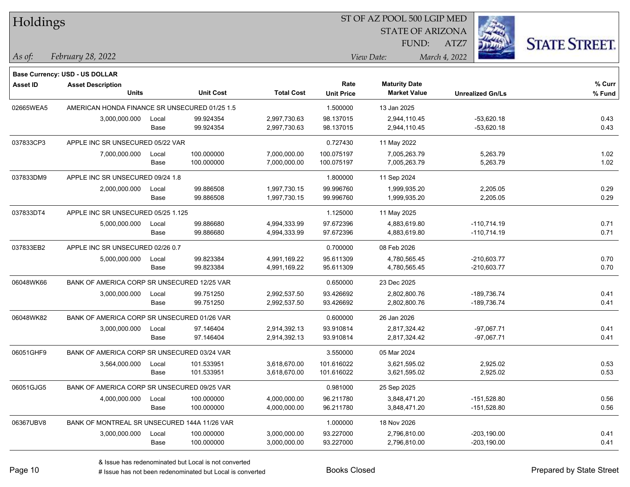| Holdings        |                                               |       |                  |                   |                   | ST OF AZ POOL 500 LGIP MED |                         |                      |
|-----------------|-----------------------------------------------|-------|------------------|-------------------|-------------------|----------------------------|-------------------------|----------------------|
|                 |                                               |       |                  |                   |                   | <b>STATE OF ARIZONA</b>    |                         |                      |
|                 |                                               |       |                  |                   |                   | FUND:                      | ATZ7                    | <b>STATE STREET.</b> |
| As of:          | February 28, 2022                             |       |                  |                   |                   | View Date:                 | March 4, 2022           |                      |
|                 | <b>Base Currency: USD - US DOLLAR</b>         |       |                  |                   |                   |                            |                         |                      |
| <b>Asset ID</b> | <b>Asset Description</b>                      |       |                  |                   | Rate              | <b>Maturity Date</b>       |                         | % Curr               |
|                 | <b>Units</b>                                  |       | <b>Unit Cost</b> | <b>Total Cost</b> | <b>Unit Price</b> | <b>Market Value</b>        | <b>Unrealized Gn/Ls</b> | % Fund               |
| 02665WEA5       | AMERICAN HONDA FINANCE SR UNSECURED 01/25 1.5 |       |                  |                   | 1.500000          | 13 Jan 2025                |                         |                      |
|                 | 3,000,000.000                                 | Local | 99.924354        | 2,997,730.63      | 98.137015         | 2,944,110.45               | $-53,620.18$            | 0.43                 |
|                 |                                               | Base  | 99.924354        | 2,997,730.63      | 98.137015         | 2,944,110.45               | $-53,620.18$            | 0.43                 |
| 037833CP3       | APPLE INC SR UNSECURED 05/22 VAR              |       |                  |                   | 0.727430          | 11 May 2022                |                         |                      |
|                 | 7,000,000.000                                 | Local | 100.000000       | 7,000,000.00      | 100.075197        | 7,005,263.79               | 5,263.79                | 1.02                 |
|                 |                                               | Base  | 100.000000       | 7,000,000.00      | 100.075197        | 7,005,263.79               | 5,263.79                | 1.02                 |
| 037833DM9       | APPLE INC SR UNSECURED 09/24 1.8              |       |                  |                   | 1.800000          | 11 Sep 2024                |                         |                      |
|                 | 2,000,000.000                                 | Local | 99.886508        | 1,997,730.15      | 99.996760         | 1,999,935.20               | 2,205.05                | 0.29                 |
|                 |                                               | Base  | 99.886508        | 1,997,730.15      | 99.996760         | 1,999,935.20               | 2,205.05                | 0.29                 |
| 037833DT4       | APPLE INC SR UNSECURED 05/25 1.125            |       |                  |                   | 1.125000          | 11 May 2025                |                         |                      |
|                 | 5,000,000.000                                 | Local | 99.886680        | 4,994,333.99      | 97.672396         | 4,883,619.80               | $-110,714.19$           | 0.71                 |
|                 |                                               | Base  | 99.886680        | 4,994,333.99      | 97.672396         | 4,883,619.80               | $-110,714.19$           | 0.71                 |
| 037833EB2       | APPLE INC SR UNSECURED 02/26 0.7              |       |                  |                   | 0.700000          | 08 Feb 2026                |                         |                      |
|                 | 5,000,000.000                                 | Local | 99.823384        | 4,991,169.22      | 95.611309         | 4,780,565.45               | $-210,603.77$           | 0.70                 |
|                 |                                               | Base  | 99.823384        | 4,991,169.22      | 95.611309         | 4,780,565.45               | $-210,603.77$           | 0.70                 |
| 06048WK66       | BANK OF AMERICA CORP SR UNSECURED 12/25 VAR   |       |                  |                   | 0.650000          | 23 Dec 2025                |                         |                      |
|                 | 3,000,000.000                                 | Local | 99.751250        | 2,992,537.50      | 93.426692         | 2,802,800.76               | -189,736.74             | 0.41                 |
|                 |                                               | Base  | 99.751250        | 2,992,537.50      | 93.426692         | 2,802,800.76               | -189,736.74             | 0.41                 |
| 06048WK82       | BANK OF AMERICA CORP SR UNSECURED 01/26 VAR   |       |                  |                   | 0.600000          | 26 Jan 2026                |                         |                      |
|                 | 3,000,000.000                                 | Local | 97.146404        | 2,914,392.13      | 93.910814         | 2,817,324.42               | $-97,067.71$            | 0.41                 |
|                 |                                               | Base  | 97.146404        | 2,914,392.13      | 93.910814         | 2,817,324.42               | $-97,067.71$            | 0.41                 |
| 06051GHF9       | BANK OF AMERICA CORP SR UNSECURED 03/24 VAR   |       |                  |                   | 3.550000          | 05 Mar 2024                |                         |                      |
|                 | 3,564,000.000                                 | Local | 101.533951       | 3,618,670.00      | 101.616022        | 3,621,595.02               | 2,925.02                | 0.53                 |
|                 |                                               | Base  | 101.533951       | 3,618,670.00      | 101.616022        | 3,621,595.02               | 2,925.02                | 0.53                 |
| 06051GJG5       | BANK OF AMERICA CORP SR UNSECURED 09/25 VAR   |       |                  |                   | 0.981000          | 25 Sep 2025                |                         |                      |
|                 | 4,000,000.000                                 | Local | 100.000000       | 4,000,000.00      | 96.211780         | 3,848,471.20               | $-151,528.80$           | 0.56                 |
|                 |                                               | Base  | 100.000000       | 4,000,000.00      | 96.211780         | 3,848,471.20               | $-151,528.80$           | 0.56                 |
| 06367UBV8       | BANK OF MONTREAL SR UNSECURED 144A 11/26 VAR  |       |                  |                   | 1.000000          | 18 Nov 2026                |                         |                      |
|                 | 3,000,000.000                                 | Local | 100.000000       | 3,000,000.00      | 93.227000         | 2,796,810.00               | $-203,190.00$           | 0.41                 |
|                 |                                               | Base  | 100.000000       | 3,000,000.00      | 93.227000         | 2,796,810.00               | $-203,190.00$           | 0.41                 |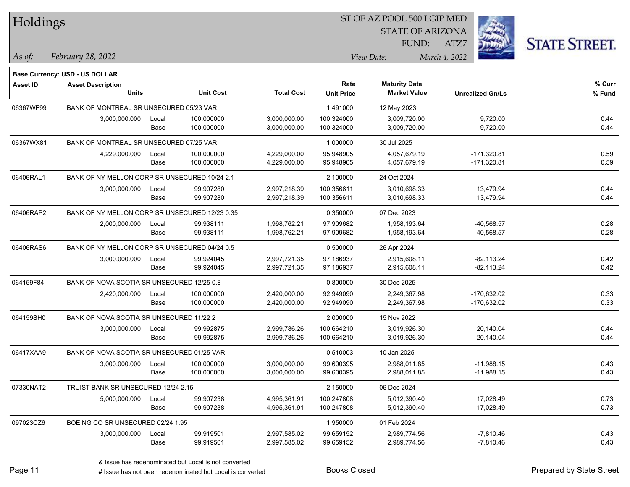| Holdings        |                                                |       |                  |                   | 51 OF AZ POOL 500 LGIP MED |                         |                         |                      |
|-----------------|------------------------------------------------|-------|------------------|-------------------|----------------------------|-------------------------|-------------------------|----------------------|
|                 |                                                |       |                  |                   |                            | <b>STATE OF ARIZONA</b> | i.                      |                      |
|                 |                                                |       |                  |                   |                            | FUND:                   | ATZ7                    | <b>STATE STREET.</b> |
| As of:          | February 28, 2022                              |       |                  |                   |                            | View Date:              | March 4, 2022           |                      |
|                 | Base Currency: USD - US DOLLAR                 |       |                  |                   |                            |                         |                         |                      |
| <b>Asset ID</b> | <b>Asset Description</b>                       |       |                  |                   | Rate                       | <b>Maturity Date</b>    |                         | % Curr               |
|                 | <b>Units</b>                                   |       | <b>Unit Cost</b> | <b>Total Cost</b> | <b>Unit Price</b>          | <b>Market Value</b>     | <b>Unrealized Gn/Ls</b> | % Fund               |
| 06367WF99       | BANK OF MONTREAL SR UNSECURED 05/23 VAR        |       |                  |                   | 1.491000                   | 12 May 2023             |                         |                      |
|                 | 3,000,000.000                                  | Local | 100.000000       | 3,000,000.00      | 100.324000                 | 3,009,720.00            | 9,720.00                | 0.44<br>0.44         |
|                 |                                                | Base  | 100.000000       | 3,000,000.00      | 100.324000                 | 3,009,720.00            | 9,720.00                |                      |
| 06367WX81       | BANK OF MONTREAL SR UNSECURED 07/25 VAR        |       |                  |                   | 1.000000                   | 30 Jul 2025             |                         |                      |
|                 | 4,229,000.000                                  | Local | 100.000000       | 4,229,000.00      | 95.948905                  | 4,057,679.19            | $-171,320.81$           | 0.59                 |
|                 |                                                | Base  | 100.000000       | 4,229,000.00      | 95.948905                  | 4,057,679.19            | $-171,320.81$           | 0.59                 |
| 06406RAL1       | BANK OF NY MELLON CORP SR UNSECURED 10/24 2.1  |       |                  |                   | 2.100000                   | 24 Oct 2024             |                         |                      |
|                 | 3,000,000.000                                  | Local | 99.907280        | 2,997,218.39      | 100.356611                 | 3,010,698.33            | 13,479.94               | 0.44                 |
|                 |                                                | Base  | 99.907280        | 2,997,218.39      | 100.356611                 | 3,010,698.33            | 13,479.94               | 0.44                 |
| 06406RAP2       | BANK OF NY MELLON CORP SR UNSECURED 12/23 0.35 |       |                  |                   | 0.350000                   | 07 Dec 2023             |                         |                      |
|                 | 2,000,000.000                                  | Local | 99.938111        | 1,998,762.21      | 97.909682                  | 1,958,193.64            | $-40,568.57$            | 0.28                 |
|                 |                                                | Base  | 99.938111        | 1,998,762.21      | 97.909682                  | 1,958,193.64            | $-40,568.57$            | 0.28                 |
| 06406RAS6       | BANK OF NY MELLON CORP SR UNSECURED 04/24 0.5  |       |                  |                   | 0.500000                   | 26 Apr 2024             |                         |                      |
|                 | 3,000,000.000                                  | Local | 99.924045        | 2,997,721.35      | 97.186937                  | 2,915,608.11            | $-82, 113.24$           | 0.42                 |
|                 |                                                | Base  | 99.924045        | 2,997,721.35      | 97.186937                  | 2,915,608.11            | $-82,113.24$            | 0.42                 |
| 064159F84       | BANK OF NOVA SCOTIA SR UNSECURED 12/25 0.8     |       |                  |                   | 0.800000                   | 30 Dec 2025             |                         |                      |
|                 | 2,420,000.000                                  | Local | 100.000000       | 2,420,000.00      | 92.949090                  | 2,249,367.98            | $-170,632.02$           | 0.33                 |
|                 |                                                | Base  | 100.000000       | 2,420,000.00      | 92.949090                  | 2,249,367.98            | $-170,632.02$           | 0.33                 |
| 064159SH0       | BANK OF NOVA SCOTIA SR UNSECURED 11/22 2       |       |                  |                   | 2.000000                   | 15 Nov 2022             |                         |                      |
|                 | 3,000,000.000                                  | Local | 99.992875        | 2,999,786.26      | 100.664210                 | 3,019,926.30            | 20,140.04               | 0.44                 |
|                 |                                                | Base  | 99.992875        | 2,999,786.26      | 100.664210                 | 3,019,926.30            | 20,140.04               | 0.44                 |
| 06417XAA9       | BANK OF NOVA SCOTIA SR UNSECURED 01/25 VAR     |       |                  |                   | 0.510003                   | 10 Jan 2025             |                         |                      |
|                 | 3,000,000.000                                  | Local | 100.000000       | 3,000,000.00      | 99.600395                  | 2,988,011.85            | $-11,988.15$            | 0.43                 |
|                 |                                                | Base  | 100.000000       | 3,000,000.00      | 99.600395                  | 2,988,011.85            | $-11,988.15$            | 0.43                 |
| 07330NAT2       | TRUIST BANK SR UNSECURED 12/24 2.15            |       |                  |                   | 2.150000                   | 06 Dec 2024             |                         |                      |
|                 | 5,000,000.000                                  | Local | 99.907238        | 4,995,361.91      | 100.247808                 | 5,012,390.40            | 17,028.49               | 0.73                 |
|                 |                                                | Base  | 99.907238        | 4,995,361.91      | 100.247808                 | 5,012,390.40            | 17,028.49               | 0.73                 |
| 097023CZ6       | BOEING CO SR UNSECURED 02/24 1.95              |       |                  |                   | 1.950000                   | 01 Feb 2024             |                         |                      |
|                 | 3,000,000.000                                  | Local | 99.919501        | 2,997,585.02      | 99.659152                  | 2,989,774.56            | $-7,810.46$             | 0.43                 |
|                 |                                                | Base  | 99.919501        | 2,997,585.02      | 99.659152                  | 2,989,774.56            | $-7,810.46$             | 0.43                 |

 $\overline{\text{SD} + \text{F} \text{PQQI}}$  500 LGID MED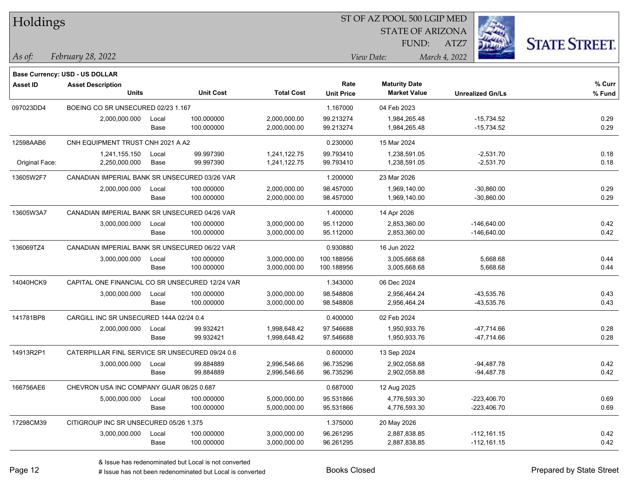| Holdings        |                                                 |       |                  |                   |                   | ST OF AZ POOL 500 LGIP MED |                         |                      |
|-----------------|-------------------------------------------------|-------|------------------|-------------------|-------------------|----------------------------|-------------------------|----------------------|
|                 |                                                 |       |                  |                   |                   | <b>STATE OF ARIZONA</b>    |                         |                      |
|                 |                                                 |       |                  |                   |                   | FUND:                      | ATZ7                    | <b>STATE STREET.</b> |
| As of:          | February 28, 2022                               |       |                  |                   |                   | View Date:                 | March 4, 2022           |                      |
|                 |                                                 |       |                  |                   |                   |                            |                         |                      |
|                 | <b>Base Currency: USD - US DOLLAR</b>           |       |                  |                   |                   |                            |                         |                      |
| <b>Asset ID</b> | <b>Asset Description</b>                        |       |                  |                   | Rate              | <b>Maturity Date</b>       |                         | $%$ Curr             |
|                 | <b>Units</b>                                    |       | <b>Unit Cost</b> | <b>Total Cost</b> | <b>Unit Price</b> | <b>Market Value</b>        | <b>Unrealized Gn/Ls</b> | % Fund               |
| 097023DD4       | BOEING CO SR UNSECURED 02/23 1.167              |       |                  |                   | 1.167000          | 04 Feb 2023                |                         |                      |
|                 | 2,000,000.000                                   | Local | 100.000000       | 2,000,000.00      | 99.213274         | 1,984,265.48               | $-15,734.52$            | 0.29                 |
|                 |                                                 | Base  | 100.000000       | 2,000,000.00      | 99.213274         | 1,984,265.48               | $-15,734.52$            | 0.29                 |
| 12598AAB6       | CNH EQUIPMENT TRUST CNH 2021 A A2               |       |                  |                   | 0.230000          | 15 Mar 2024                |                         |                      |
|                 | 1,241,155.150                                   | Local | 99.997390        | 1,241,122.75      | 99.793410         | 1,238,591.05               | $-2,531.70$             | 0.18                 |
| Original Face:  | 2,250,000.000                                   | Base  | 99.997390        | 1,241,122.75      | 99.793410         | 1,238,591.05               | $-2,531.70$             | 0.18                 |
| 13605W2F7       | CANADIAN IMPERIAL BANK SR UNSECURED 03/26 VAR   |       |                  |                   | 1.200000          | 23 Mar 2026                |                         |                      |
|                 | 2,000,000.000                                   | Local | 100.000000       | 2,000,000.00      | 98.457000         | 1.969.140.00               | $-30,860.00$            | 0.29                 |
|                 |                                                 | Base  | 100.000000       | 2,000,000.00      | 98.457000         | 1,969,140.00               | $-30,860.00$            | 0.29                 |
| 13605W3A7       | CANADIAN IMPERIAL BANK SR UNSECURED 04/26 VAR   |       |                  |                   | 1.400000          | 14 Apr 2026                |                         |                      |
|                 | 3,000,000.000                                   | Local | 100.000000       | 3,000,000.00      | 95.112000         | 2,853,360.00               | $-146,640.00$           | 0.42                 |
|                 |                                                 | Base  | 100.000000       | 3,000,000.00      | 95.112000         | 2,853,360.00               | $-146,640.00$           | 0.42                 |
| 136069TZ4       | CANADIAN IMPERIAL BANK SR UNSECURED 06/22 VAR   |       |                  |                   | 0.930880          | 16 Jun 2022                |                         |                      |
|                 | 3,000,000.000                                   | Local | 100.000000       | 3,000,000.00      | 100.188956        | 3,005,668.68               | 5,668.68                | 0.44                 |
|                 |                                                 | Base  | 100.000000       | 3,000,000.00      | 100.188956        | 3,005,668.68               | 5,668.68                | 0.44                 |
| 14040HCK9       | CAPITAL ONE FINANCIAL CO SR UNSECURED 12/24 VAR |       |                  |                   | 1.343000          | 06 Dec 2024                |                         |                      |
|                 | 3,000,000.000                                   | Local | 100.000000       | 3,000,000.00      | 98.548808         | 2,956,464.24               | $-43,535.76$            | 0.43                 |
|                 |                                                 | Base  | 100.000000       | 3,000,000.00      | 98.548808         | 2,956,464.24               | $-43,535.76$            | 0.43                 |
| 141781BP8       | CARGILL INC SR UNSECURED 144A 02/24 0.4         |       |                  |                   | 0.400000          | 02 Feb 2024                |                         |                      |
|                 | 2,000,000.000                                   | Local | 99.932421        | 1,998,648.42      | 97.546688         | 1,950,933.76               | $-47,714.66$            | 0.28                 |
|                 |                                                 | Base  | 99.932421        | 1,998,648.42      | 97.546688         | 1,950,933.76               | $-47,714.66$            | 0.28                 |
| 14913R2P1       | CATERPILLAR FINL SERVICE SR UNSECURED 09/24 0.6 |       |                  |                   | 0.600000          | 13 Sep 2024                |                         |                      |
|                 | 3,000,000.000                                   | Local | 99.884889        | 2,996,546.66      | 96.735296         | 2,902,058.88               | $-94.487.78$            | 0.42                 |
|                 |                                                 | Base  | 99.884889        | 2,996,546.66      | 96.735296         | 2,902,058.88               | $-94,487.78$            | 0.42                 |
| 166756AE6       | CHEVRON USA INC COMPANY GUAR 08/25 0.687        |       |                  |                   | 0.687000          | 12 Aug 2025                |                         |                      |
|                 | 5,000,000.000                                   | Local | 100.000000       | 5,000,000.00      | 95.531866         | 4,776,593.30               | $-223,406.70$           | 0.69                 |
|                 |                                                 | Base  | 100.000000       | 5,000,000.00      | 95.531866         | 4,776,593.30               | $-223,406.70$           | 0.69                 |
| 17298CM39       | CITIGROUP INC SR UNSECURED 05/26 1.375          |       |                  |                   | 1.375000          | 20 May 2026                |                         |                      |
|                 | 3,000,000.000                                   | Local | 100.000000       | 3,000,000.00      | 96.261295         | 2,887,838.85               | $-112,161.15$           | 0.42                 |
|                 |                                                 | Base  | 100.000000       | 3,000,000.00      | 96.261295         | 2,887,838.85               | $-112,161.15$           | 0.42                 |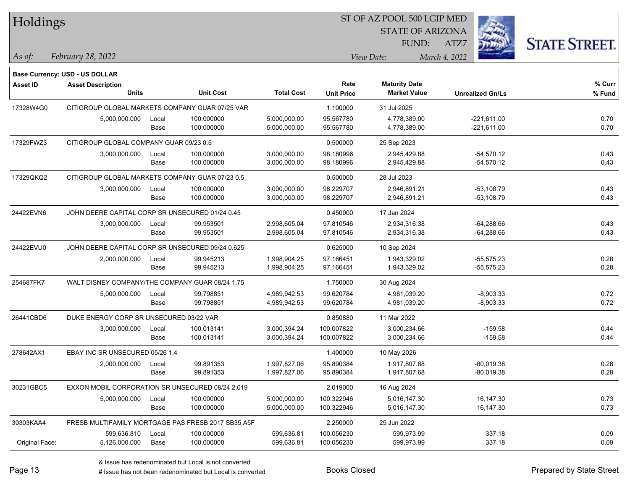| Holdings        |                                                  |       |                                                    |                   |                   | ST OF AZ POOL 500 LGIP MED |                         |                      |
|-----------------|--------------------------------------------------|-------|----------------------------------------------------|-------------------|-------------------|----------------------------|-------------------------|----------------------|
|                 |                                                  |       |                                                    |                   |                   | <b>STATE OF ARIZONA</b>    |                         |                      |
|                 |                                                  |       |                                                    |                   |                   | FUND:                      | ATZ7                    | <b>STATE STREET.</b> |
| As of:          | February 28, 2022                                |       |                                                    |                   |                   | View Date:                 | March 4, 2022           |                      |
|                 | <b>Base Currency: USD - US DOLLAR</b>            |       |                                                    |                   |                   |                            |                         |                      |
| <b>Asset ID</b> | <b>Asset Description</b>                         |       |                                                    |                   | Rate              | <b>Maturity Date</b>       |                         | % Curr               |
|                 | <b>Units</b>                                     |       | <b>Unit Cost</b>                                   | <b>Total Cost</b> | <b>Unit Price</b> | <b>Market Value</b>        | <b>Unrealized Gn/Ls</b> | % Fund               |
| 17328W4G0       | CITIGROUP GLOBAL MARKETS COMPANY GUAR 07/25 VAR  |       |                                                    |                   | 1.100000          | 31 Jul 2025                |                         |                      |
|                 | 5,000,000.000                                    | Local | 100.000000                                         | 5,000,000.00      | 95.567780         | 4,778,389.00               | $-221,611.00$           | 0.70                 |
|                 |                                                  | Base  | 100.000000                                         | 5,000,000.00      | 95.567780         | 4,778,389.00               | $-221,611.00$           | 0.70                 |
| 17329FWZ3       | CITIGROUP GLOBAL COMPANY GUAR 09/23 0.5          |       |                                                    |                   | 0.500000          | 25 Sep 2023                |                         |                      |
|                 | 3,000,000.000                                    | Local | 100.000000                                         | 3,000,000.00      | 98.180996         | 2,945,429.88               | -54,570.12              | 0.43                 |
|                 |                                                  | Base  | 100.000000                                         | 3,000,000.00      | 98.180996         | 2,945,429.88               | $-54,570.12$            | 0.43                 |
| 17329QKQ2       | CITIGROUP GLOBAL MARKETS COMPANY GUAR 07/23 0.5  |       |                                                    |                   | 0.500000          | 28 Jul 2023                |                         |                      |
|                 | 3,000,000.000                                    | Local | 100.000000                                         | 3,000,000.00      | 98.229707         | 2,946,891.21               | -53,108.79              | 0.43                 |
|                 |                                                  | Base  | 100.000000                                         | 3,000,000.00      | 98.229707         | 2,946,891.21               | $-53,108.79$            | 0.43                 |
| 24422EVN6       | JOHN DEERE CAPITAL CORP SR UNSECURED 01/24 0.45  |       |                                                    |                   | 0.450000          | 17 Jan 2024                |                         |                      |
|                 | 3,000,000.000                                    | Local | 99.953501                                          | 2,998,605.04      | 97.810546         | 2,934,316.38               | $-64,288.66$            | 0.43                 |
|                 |                                                  | Base  | 99.953501                                          | 2,998,605.04      | 97.810546         | 2,934,316.38               | $-64,288.66$            | 0.43                 |
| 24422EVU0       | JOHN DEERE CAPITAL CORP SR UNSECURED 09/24 0.625 |       |                                                    |                   | 0.625000          | 10 Sep 2024                |                         |                      |
|                 | 2,000,000.000                                    | Local | 99.945213                                          | 1,998,904.25      | 97.166451         | 1,943,329.02               | $-55,575.23$            | 0.28                 |
|                 |                                                  | Base  | 99.945213                                          | 1,998,904.25      | 97.166451         | 1,943,329.02               | -55,575.23              | 0.28                 |
| 254687FK7       | WALT DISNEY COMPANY/THE COMPANY GUAR 08/24 1.75  |       |                                                    |                   | 1.750000          | 30 Aug 2024                |                         |                      |
|                 | 5,000,000.000                                    | Local | 99.798851                                          | 4,989,942.53      | 99.620784         | 4,981,039.20               | $-8,903.33$             | 0.72                 |
|                 |                                                  | Base  | 99.798851                                          | 4,989,942.53      | 99.620784         | 4,981,039.20               | $-8,903.33$             | 0.72                 |
| 26441CBD6       | DUKE ENERGY CORP SR UNSECURED 03/22 VAR          |       |                                                    |                   | 0.850880          | 11 Mar 2022                |                         |                      |
|                 | 3,000,000.000                                    | Local | 100.013141                                         | 3,000,394.24      | 100.007822        | 3,000,234.66               | $-159.58$               | 0.44                 |
|                 |                                                  | Base  | 100.013141                                         | 3,000,394.24      | 100.007822        | 3,000,234.66               | $-159.58$               | 0.44                 |
| 278642AX1       | EBAY INC SR UNSECURED 05/26 1.4                  |       |                                                    |                   | 1.400000          | 10 May 2026                |                         |                      |
|                 | 2,000,000.000                                    | Local | 99.891353                                          | 1,997,827.06      | 95.890384         | 1.917.807.68               | $-80,019.38$            | 0.28                 |
|                 |                                                  | Base  | 99.891353                                          | 1,997,827.06      | 95.890384         | 1,917,807.68               | $-80,019.38$            | 0.28                 |
| 30231GBC5       | EXXON MOBIL CORPORATION SR UNSECURED 08/24 2.019 |       |                                                    |                   | 2.019000          | 16 Aug 2024                |                         |                      |
|                 | 5,000,000.000                                    | Local | 100.000000                                         | 5,000,000.00      | 100.322946        | 5,016,147.30               | 16,147.30               | 0.73                 |
|                 |                                                  | Base  | 100.000000                                         | 5,000,000.00      | 100.322946        | 5,016,147.30               | 16,147.30               | 0.73                 |
| 30303KAA4       |                                                  |       | FRESB MULTIFAMILY MORTGAGE PAS FRESB 2017 SB35 A5F |                   | 2.250000          | 25 Jun 2022                |                         |                      |
|                 | 599,636.810                                      | Local | 100.000000                                         | 599,636.81        | 100.056230        | 599,973.99                 | 337.18                  | 0.09                 |
| Original Face:  | 5,126,000.000                                    | Base  | 100.000000                                         | 599,636.81        | 100.056230        | 599,973.99                 | 337.18                  | 0.09                 |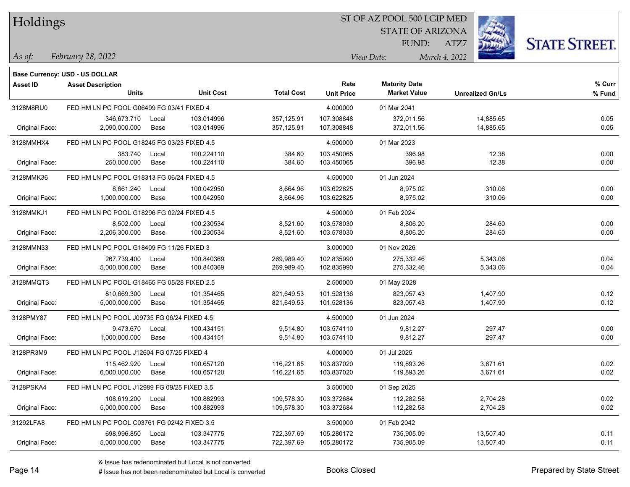| Holdings |  |
|----------|--|
|----------|--|

STATE OF ARIZONA

ATZ7



*February 28, 2022 As of: View Date: March 4, 2022*

**Base Currency: USD - US DOLLAR**

FUND:

| Asset ID       | <b>Asset Description</b>                    |       |                  |                   | Rate       | <b>Maturity Date</b> |                         | % Curr |
|----------------|---------------------------------------------|-------|------------------|-------------------|------------|----------------------|-------------------------|--------|
|                | <b>Units</b>                                |       | <b>Unit Cost</b> | <b>Total Cost</b> |            | <b>Market Value</b>  | <b>Unrealized Gn/Ls</b> | % Fund |
| 3128M8RU0      | FED HM LN PC POOL G06499 FG 03/41 FIXED 4   |       |                  |                   | 4.000000   | 01 Mar 2041          |                         |        |
|                | 346,673.710                                 | Local | 103.014996       | 357,125.91        | 107.308848 | 372,011.56           | 14,885.65               | 0.05   |
| Original Face: | 2,090,000.000                               | Base  | 103.014996       | 357,125.91        | 107.308848 | 372,011.56           | 14,885.65               | 0.05   |
| 3128MMHX4      | FED HM LN PC POOL G18245 FG 03/23 FIXED 4.5 |       |                  |                   | 4.500000   | 01 Mar 2023          |                         |        |
|                | 383.740                                     | Local | 100.224110       | 384.60            | 103.450065 | 396.98               | 12.38                   | 0.00   |
| Original Face: | 250,000.000                                 | Base  | 100.224110       | 384.60            | 103.450065 | 396.98               | 12.38                   | 0.00   |
| 3128MMK36      | FED HM LN PC POOL G18313 FG 06/24 FIXED 4.5 |       |                  |                   | 4.500000   | 01 Jun 2024          |                         |        |
|                | 8,661.240                                   | Local | 100.042950       | 8,664.96          | 103.622825 | 8,975.02             | 310.06                  | 0.00   |
| Original Face: | 1,000,000.000                               | Base  | 100.042950       | 8,664.96          | 103.622825 | 8,975.02             | 310.06                  | 0.00   |
| 3128MMKJ1      | FED HM LN PC POOL G18296 FG 02/24 FIXED 4.5 |       |                  |                   | 4.500000   | 01 Feb 2024          |                         |        |
|                | 8,502.000                                   | Local | 100.230534       | 8,521.60          | 103.578030 | 8,806.20             | 284.60                  | 0.00   |
| Original Face: | 2,206,300.000                               | Base  | 100.230534       | 8,521.60          | 103.578030 | 8,806.20             | 284.60                  | 0.00   |
| 3128MMN33      | FED HM LN PC POOL G18409 FG 11/26 FIXED 3   |       |                  |                   | 3.000000   | 01 Nov 2026          |                         |        |
|                | 267,739.400                                 | Local | 100.840369       | 269,989.40        | 102.835990 | 275,332.46           | 5,343.06                | 0.04   |
| Original Face: | 5,000,000.000                               | Base  | 100.840369       | 269,989.40        | 102.835990 | 275,332.46           | 5,343.06                | 0.04   |
| 3128MMQT3      | FED HM LN PC POOL G18465 FG 05/28 FIXED 2.5 |       |                  |                   | 2.500000   | 01 May 2028          |                         |        |
|                | 810,669.300                                 | Local | 101.354465       | 821,649.53        | 101.528136 | 823,057.43           | 1,407.90                | 0.12   |
| Original Face: | 5,000,000.000                               | Base  | 101.354465       | 821,649.53        | 101.528136 | 823,057.43           | 1,407.90                | 0.12   |
| 3128PMY87      | FED HM LN PC POOL J09735 FG 06/24 FIXED 4.5 |       |                  |                   | 4.500000   | 01 Jun 2024          |                         |        |
|                | 9,473.670                                   | Local | 100.434151       | 9,514.80          | 103.574110 | 9,812.27             | 297.47                  | 0.00   |
| Original Face: | 1,000,000.000                               | Base  | 100.434151       | 9,514.80          | 103.574110 | 9,812.27             | 297.47                  | 0.00   |
| 3128PR3M9      | FED HM LN PC POOL J12604 FG 07/25 FIXED 4   |       |                  |                   | 4.000000   | 01 Jul 2025          |                         |        |
|                | 115,462.920                                 | Local | 100.657120       | 116,221.65        | 103.837020 | 119,893.26           | 3,671.61                | 0.02   |
| Original Face: | 6,000,000.000                               | Base  | 100.657120       | 116,221.65        | 103.837020 | 119,893.26           | 3,671.61                | 0.02   |
| 3128PSKA4      | FED HM LN PC POOL J12989 FG 09/25 FIXED 3.5 |       |                  |                   | 3.500000   | 01 Sep 2025          |                         |        |
|                | 108,619.200                                 | Local | 100.882993       | 109,578.30        | 103.372684 | 112,282.58           | 2,704.28                | 0.02   |
| Original Face: | 5,000,000.000                               | Base  | 100.882993       | 109,578.30        | 103.372684 | 112,282.58           | 2,704.28                | 0.02   |
| 31292LFA8      | FED HM LN PC POOL C03761 FG 02/42 FIXED 3.5 |       |                  |                   | 3.500000   | 01 Feb 2042          |                         |        |
|                | 698,996.850                                 | Local | 103.347775       | 722,397.69        | 105.280172 | 735,905.09           | 13,507.40               | 0.11   |
| Original Face: | 5,000,000.000                               | Base  | 103.347775       | 722,397.69        | 105.280172 | 735,905.09           | 13,507.40               | 0.11   |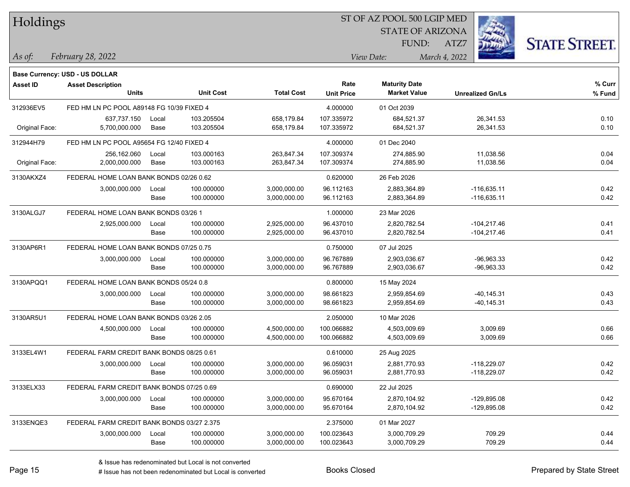| Holdings        |                                            |       |                  |                   |                   | 51 OF AZ POOL 500 LGIP MED |                         |                      |
|-----------------|--------------------------------------------|-------|------------------|-------------------|-------------------|----------------------------|-------------------------|----------------------|
|                 |                                            |       |                  |                   |                   | <b>STATE OF ARIZONA</b>    |                         |                      |
|                 |                                            |       |                  |                   |                   | FUND:                      | ATZ7                    | <b>STATE STREET.</b> |
| As of:          | February 28, 2022                          |       |                  |                   |                   | View Date:                 | March 4, 2022           |                      |
|                 | <b>Base Currency: USD - US DOLLAR</b>      |       |                  |                   |                   |                            |                         |                      |
| <b>Asset ID</b> | <b>Asset Description</b>                   |       |                  |                   | Rate              | <b>Maturity Date</b>       |                         | % Curr               |
|                 | <b>Units</b>                               |       | <b>Unit Cost</b> | <b>Total Cost</b> | <b>Unit Price</b> | <b>Market Value</b>        | <b>Unrealized Gn/Ls</b> | % Fund               |
| 312936EV5       | FED HM LN PC POOL A89148 FG 10/39 FIXED 4  |       |                  |                   | 4.000000          | 01 Oct 2039                |                         |                      |
|                 | 637,737.150                                | Local | 103.205504       | 658.179.84        | 107.335972        | 684,521.37                 | 26,341.53               | 0.10                 |
| Original Face:  | 5,700,000.000                              | Base  | 103.205504       | 658,179.84        | 107.335972        | 684,521.37                 | 26,341.53               | 0.10                 |
| 312944H79       | FED HM LN PC POOL A95654 FG 12/40 FIXED 4  |       |                  |                   | 4.000000          | 01 Dec 2040                |                         |                      |
|                 | 256,162.060                                | Local | 103.000163       | 263,847.34        | 107.309374        | 274,885.90                 | 11,038.56               | 0.04                 |
| Original Face:  | 2,000,000.000                              | Base  | 103.000163       | 263,847.34        | 107.309374        | 274,885.90                 | 11,038.56               | 0.04                 |
| 3130AKXZ4       | FEDERAL HOME LOAN BANK BONDS 02/26 0.62    |       |                  |                   | 0.620000          | 26 Feb 2026                |                         |                      |
|                 | 3,000,000.000                              | Local | 100.000000       | 3,000,000.00      | 96.112163         | 2,883,364.89               | $-116,635.11$           | 0.42                 |
|                 |                                            | Base  | 100.000000       | 3,000,000.00      | 96.112163         | 2,883,364.89               | $-116,635.11$           | 0.42                 |
| 3130ALGJ7       | FEDERAL HOME LOAN BANK BONDS 03/26 1       |       |                  |                   | 1.000000          | 23 Mar 2026                |                         |                      |
|                 | 2,925,000.000                              | Local | 100.000000       | 2,925,000.00      | 96.437010         | 2,820,782.54               | $-104,217.46$           | 0.41                 |
|                 |                                            | Base  | 100.000000       | 2,925,000.00      | 96.437010         | 2,820,782.54               | $-104,217.46$           | 0.41                 |
| 3130AP6R1       | FEDERAL HOME LOAN BANK BONDS 07/25 0.75    |       |                  |                   | 0.750000          | 07 Jul 2025                |                         |                      |
|                 | 3,000,000.000                              | Local | 100.000000       | 3,000,000.00      | 96.767889         | 2,903,036.67               | $-96,963.33$            | 0.42                 |
|                 |                                            | Base  | 100.000000       | 3,000,000.00      | 96.767889         | 2,903,036.67               | $-96,963.33$            | 0.42                 |
| 3130APQQ1       | FEDERAL HOME LOAN BANK BONDS 05/24 0.8     |       |                  |                   | 0.800000          | 15 May 2024                |                         |                      |
|                 | 3,000,000.000                              | Local | 100.000000       | 3,000,000.00      | 98.661823         | 2,959,854.69               | $-40, 145.31$           | 0.43                 |
|                 |                                            | Base  | 100.000000       | 3,000,000.00      | 98.661823         | 2,959,854.69               | $-40, 145.31$           | 0.43                 |
| 3130AR5U1       | FEDERAL HOME LOAN BANK BONDS 03/26 2.05    |       |                  |                   | 2.050000          | 10 Mar 2026                |                         |                      |
|                 | 4,500,000.000                              | Local | 100.000000       | 4,500,000.00      | 100.066882        | 4,503,009.69               | 3,009.69                | 0.66                 |
|                 |                                            | Base  | 100.000000       | 4,500,000.00      | 100.066882        | 4,503,009.69               | 3,009.69                | 0.66                 |
| 3133EL4W1       | FEDERAL FARM CREDIT BANK BONDS 08/25 0.61  |       |                  |                   | 0.610000          | 25 Aug 2025                |                         |                      |
|                 | 3,000,000.000                              | Local | 100.000000       | 3,000,000.00      | 96.059031         | 2,881,770.93               | $-118,229.07$           | 0.42                 |
|                 |                                            | Base  | 100.000000       | 3,000,000.00      | 96.059031         | 2,881,770.93               | $-118,229.07$           | 0.42                 |
| 3133ELX33       | FEDERAL FARM CREDIT BANK BONDS 07/25 0.69  |       |                  |                   | 0.690000          | 22 Jul 2025                |                         |                      |
|                 | 3,000,000.000                              | Local | 100.000000       | 3,000,000.00      | 95.670164         | 2,870,104.92               | $-129,895.08$           | 0.42                 |
|                 |                                            | Base  | 100.000000       | 3,000,000.00      | 95.670164         | 2,870,104.92               | $-129,895.08$           | 0.42                 |
| 3133ENQE3       | FEDERAL FARM CREDIT BANK BONDS 03/27 2.375 |       |                  |                   | 2.375000          | 01 Mar 2027                |                         |                      |
|                 | 3,000,000.000                              | Local | 100.000000       | 3,000,000.00      | 100.023643        | 3,000,709.29               | 709.29                  | 0.44                 |
|                 |                                            | Base  | 100.000000       | 3,000,000.00      | 100.023643        | 3,000,709.29               | 709.29                  | 0.44                 |

 $\overline{\text{SP } \overline{\text{SP } \text{CSP } \text{CSP } \text{CSP } \text{CSP } \text{CSP } \text{CSP } \text{CSP } \text{CSP } \text{CSP } \text{CSP } \text{CSP } \text{CSP } \text{CSP } \text{CSP } \text{CSP } \text{CSP } \text{CSP } \text{CSP } \text{CSP } \text{CSP } \text{CSP } \text{CSP } \text{CSP } \text{CSP } \text{CSP } \text{CSP } \text{CSP } \text{CSP } \text{CSP } \text{CSP } \text{CSP } \text{CSP } \text{CSP } \text{CSP }$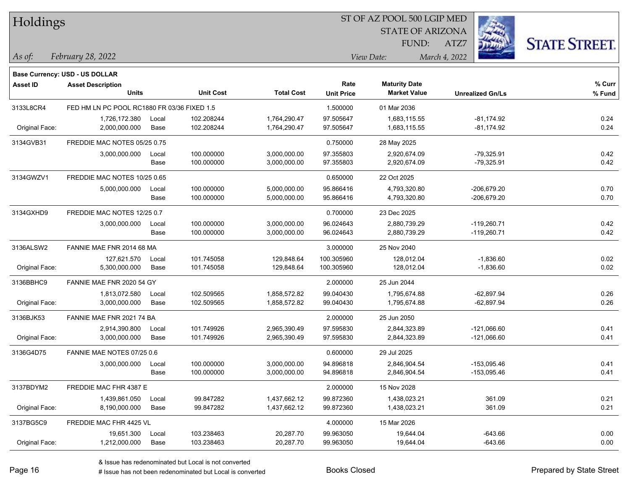| Holdings        |                                             |               |                          |                              |                             | 51 OF AZ POOL 500 LGIP MED<br><b>STATE OF ARIZONA</b> |                              |                      |
|-----------------|---------------------------------------------|---------------|--------------------------|------------------------------|-----------------------------|-------------------------------------------------------|------------------------------|----------------------|
|                 |                                             |               |                          |                              |                             | FUND:                                                 | ATZ7                         | <b>STATE STREET.</b> |
| As of:          | February 28, 2022                           |               |                          |                              | March 4, 2022<br>View Date: |                                                       |                              |                      |
|                 | <b>Base Currency: USD - US DOLLAR</b>       |               |                          |                              |                             |                                                       |                              |                      |
| <b>Asset ID</b> | <b>Asset Description</b><br><b>Units</b>    |               | <b>Unit Cost</b>         | <b>Total Cost</b>            | Rate<br><b>Unit Price</b>   | <b>Maturity Date</b><br><b>Market Value</b>           | <b>Unrealized Gn/Ls</b>      | % Curr<br>% Fund     |
|                 |                                             |               |                          |                              |                             |                                                       |                              |                      |
| 3133L8CR4       | FED HM LN PC POOL RC1880 FR 03/36 FIXED 1.5 |               |                          |                              | 1.500000                    | 01 Mar 2036                                           |                              |                      |
| Original Face:  | 1,726,172.380<br>2,000,000.000              | Local<br>Base | 102.208244<br>102.208244 | 1,764,290.47<br>1,764,290.47 | 97.505647<br>97.505647      | 1,683,115.55<br>1,683,115.55                          | $-81,174.92$<br>$-81,174.92$ | 0.24<br>0.24         |
|                 |                                             |               |                          |                              |                             |                                                       |                              |                      |
| 3134GVB31       | FREDDIE MAC NOTES 05/25 0.75                |               |                          |                              | 0.750000                    | 28 May 2025                                           |                              |                      |
|                 | 3,000,000.000                               | Local<br>Base | 100.000000<br>100.000000 | 3,000,000.00<br>3,000,000.00 | 97.355803<br>97.355803      | 2,920,674.09<br>2,920,674.09                          | $-79,325.91$<br>$-79,325.91$ | 0.42<br>0.42         |
|                 |                                             |               |                          |                              |                             |                                                       |                              |                      |
| 3134GWZV1       | FREDDIE MAC NOTES 10/25 0.65                |               |                          |                              | 0.650000                    | 22 Oct 2025                                           |                              |                      |
|                 | 5,000,000.000                               | Local<br>Base | 100.000000<br>100.000000 | 5,000,000.00<br>5,000,000.00 | 95.866416<br>95.866416      | 4,793,320.80<br>4,793,320.80                          | -206,679.20<br>$-206,679.20$ | 0.70<br>0.70         |
|                 |                                             |               |                          |                              |                             |                                                       |                              |                      |
| 3134GXHD9       | FREDDIE MAC NOTES 12/25 0.7                 |               |                          |                              | 0.700000                    | 23 Dec 2025                                           |                              |                      |
|                 | 3,000,000.000                               | Local         | 100.000000               | 3,000,000.00                 | 96.024643                   | 2,880,739.29                                          | $-119,260.71$                | 0.42                 |
|                 |                                             | Base          | 100.000000               | 3,000,000.00                 | 96.024643                   | 2,880,739.29                                          | $-119,260.71$                | 0.42                 |
| 3136ALSW2       | FANNIE MAE FNR 2014 68 MA                   |               |                          |                              | 3.000000                    | 25 Nov 2040                                           |                              |                      |
|                 | 127,621.570                                 | Local         | 101.745058               | 129,848.64                   | 100.305960                  | 128,012.04                                            | $-1,836.60$                  | 0.02                 |
| Original Face:  | 5,300,000.000                               | Base          | 101.745058               | 129,848.64                   | 100.305960                  | 128,012.04                                            | $-1,836.60$                  | 0.02                 |
| 3136BBHC9       | FANNIE MAE FNR 2020 54 GY                   |               |                          |                              | 2.000000                    | 25 Jun 2044                                           |                              |                      |
|                 | 1,813,072.580                               | Local         | 102.509565               | 1,858,572.82                 | 99.040430                   | 1,795,674.88                                          | $-62,897.94$                 | 0.26                 |
| Original Face:  | 3,000,000.000                               | Base          | 102.509565               | 1,858,572.82                 | 99.040430                   | 1,795,674.88                                          | -62,897.94                   | 0.26                 |
| 3136BJK53       | FANNIE MAE FNR 2021 74 BA                   |               |                          |                              | 2.000000                    | 25 Jun 2050                                           |                              |                      |
|                 | 2,914,390.800                               | Local         | 101.749926               | 2,965,390.49                 | 97.595830                   | 2,844,323.89                                          | $-121,066.60$                | 0.41                 |
| Original Face:  | 3,000,000.000                               | Base          | 101.749926               | 2,965,390.49                 | 97.595830                   | 2,844,323.89                                          | $-121,066.60$                | 0.41                 |
| 3136G4D75       | FANNIE MAE NOTES 07/25 0.6                  |               |                          |                              | 0.600000                    | 29 Jul 2025                                           |                              |                      |
|                 | 3,000,000.000                               | Local         | 100.000000               | 3,000,000.00                 | 94.896818                   | 2,846,904.54                                          | -153,095.46                  | 0.41                 |
|                 |                                             | Base          | 100.000000               | 3,000,000.00                 | 94.896818                   | 2,846,904.54                                          | -153,095.46                  | 0.41                 |
| 3137BDYM2       | FREDDIE MAC FHR 4387 E                      |               |                          |                              | 2.000000                    | 15 Nov 2028                                           |                              |                      |
|                 | 1,439,861.050                               | Local         | 99.847282                | 1,437,662.12                 | 99.872360                   | 1,438,023.21                                          | 361.09                       | 0.21                 |
| Original Face:  | 8,190,000.000                               | Base          | 99.847282                | 1,437,662.12                 | 99.872360                   | 1,438,023.21                                          | 361.09                       | 0.21                 |
| 3137BG5C9       | FREDDIE MAC FHR 4425 VL                     |               |                          |                              | 4.000000                    | 15 Mar 2026                                           |                              |                      |
|                 | 19,651.300                                  | Local         | 103.238463               | 20,287.70                    | 99.963050                   | 19,644.04                                             | $-643.66$                    | 0.00                 |
| Original Face:  | 1,212,000.000                               | Base          | 103.238463               | 20,287.70                    | 99.963050                   | 19,644.04                                             | $-643.66$                    | 0.00                 |

 $\overline{\text{SP } \overline{\text{SP } \text{O}}$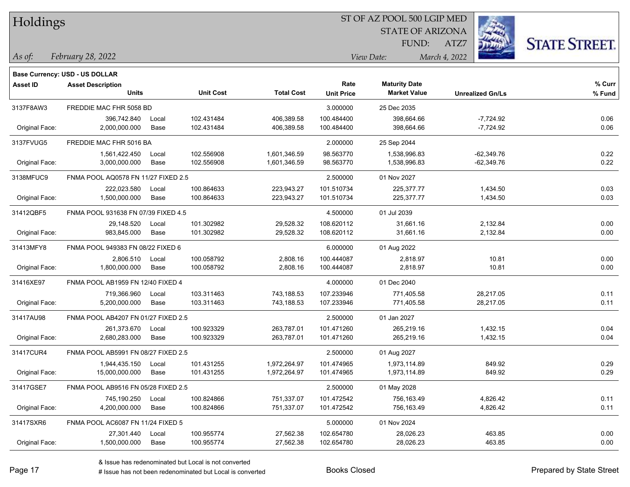| Holdings        |                                       |       |                  |                   |                   | ST OF AZ POOL 500 LGIP MED |                         |                      |
|-----------------|---------------------------------------|-------|------------------|-------------------|-------------------|----------------------------|-------------------------|----------------------|
|                 |                                       |       |                  |                   |                   | <b>STATE OF ARIZONA</b>    |                         |                      |
|                 |                                       |       |                  |                   |                   | FUND:                      | ATZ7                    | <b>STATE STREET.</b> |
| $\vert$ As of:  | February 28, 2022                     |       |                  |                   |                   | View Date:                 | March 4, 2022           |                      |
|                 | <b>Base Currency: USD - US DOLLAR</b> |       |                  |                   |                   |                            |                         |                      |
| <b>Asset ID</b> | <b>Asset Description</b>              |       |                  |                   | Rate              | <b>Maturity Date</b>       |                         | % Curr               |
|                 | <b>Units</b>                          |       | <b>Unit Cost</b> | <b>Total Cost</b> | <b>Unit Price</b> | <b>Market Value</b>        | <b>Unrealized Gn/Ls</b> | % Fund               |
| 3137F8AW3       | FREDDIE MAC FHR 5058 BD               |       |                  |                   | 3.000000          | 25 Dec 2035                |                         |                      |
|                 | 396,742.840                           | Local | 102.431484       | 406,389.58        | 100.484400        | 398,664.66                 | $-7,724.92$             | 0.06                 |
| Original Face:  | 2,000,000.000                         | Base  | 102.431484       | 406,389.58        | 100.484400        | 398,664.66                 | $-7,724.92$             | 0.06                 |
| 3137FVUG5       | FREDDIE MAC FHR 5016 BA               |       |                  |                   | 2.000000          | 25 Sep 2044                |                         |                      |
|                 | 1,561,422.450                         | Local | 102.556908       | 1,601,346.59      | 98.563770         | 1,538,996.83               | $-62,349.76$            | 0.22                 |
| Original Face:  | 3,000,000.000                         | Base  | 102.556908       | 1,601,346.59      | 98.563770         | 1,538,996.83               | $-62,349.76$            | 0.22                 |
| 3138MFUC9       | FNMA POOL AQ0578 FN 11/27 FIXED 2.5   |       |                  |                   | 2.500000          | 01 Nov 2027                |                         |                      |
|                 | 222,023.580                           | Local | 100.864633       | 223,943.27        | 101.510734        | 225,377.77                 | 1,434.50                | 0.03                 |
| Original Face:  | 1,500,000.000                         | Base  | 100.864633       | 223,943.27        | 101.510734        | 225,377.77                 | 1,434.50                | 0.03                 |
| 31412QBF5       | FNMA POOL 931638 FN 07/39 FIXED 4.5   |       |                  |                   | 4.500000          | 01 Jul 2039                |                         |                      |
|                 | 29,148.520                            | Local | 101.302982       | 29,528.32         | 108.620112        | 31,661.16                  | 2,132.84                | 0.00                 |
| Original Face:  | 983,845.000                           | Base  | 101.302982       | 29,528.32         | 108.620112        | 31,661.16                  | 2,132.84                | 0.00                 |
| 31413MFY8       | FNMA POOL 949383 FN 08/22 FIXED 6     |       |                  |                   | 6.000000          | 01 Aug 2022                |                         |                      |
|                 | 2,806.510                             | Local | 100.058792       | 2,808.16          | 100.444087        | 2,818.97                   | 10.81                   | 0.00                 |
| Original Face:  | 1,800,000.000                         | Base  | 100.058792       | 2,808.16          | 100.444087        | 2,818.97                   | 10.81                   | 0.00                 |
| 31416XE97       | FNMA POOL AB1959 FN 12/40 FIXED 4     |       |                  |                   | 4.000000          | 01 Dec 2040                |                         |                      |
|                 | 719,366.960                           | Local | 103.311463       | 743,188.53        | 107.233946        | 771,405.58                 | 28,217.05               | 0.11                 |
| Original Face:  | 5,200,000.000                         | Base  | 103.311463       | 743,188.53        | 107.233946        | 771,405.58                 | 28,217.05               | 0.11                 |
| 31417AU98       | FNMA POOL AB4207 FN 01/27 FIXED 2.5   |       |                  |                   | 2.500000          | 01 Jan 2027                |                         |                      |
|                 | 261,373.670                           | Local | 100.923329       | 263,787.01        | 101.471260        | 265,219.16                 | 1,432.15                | 0.04                 |
| Original Face:  | 2,680,283.000                         | Base  | 100.923329       | 263,787.01        | 101.471260        | 265,219.16                 | 1,432.15                | 0.04                 |
| 31417CUR4       | FNMA POOL AB5991 FN 08/27 FIXED 2.5   |       |                  |                   | 2.500000          | 01 Aug 2027                |                         |                      |
|                 | 1,944,435.150                         | Local | 101.431255       | 1,972,264.97      | 101.474965        | 1,973,114.89               | 849.92                  | 0.29                 |
| Original Face:  | 15,000,000.000                        | Base  | 101.431255       | 1,972,264.97      | 101.474965        | 1,973,114.89               | 849.92                  | 0.29                 |
| 31417GSE7       | FNMA POOL AB9516 FN 05/28 FIXED 2.5   |       |                  |                   | 2.500000          | 01 May 2028                |                         |                      |
|                 | 745,190.250                           | Local | 100.824866       | 751,337.07        | 101.472542        | 756,163.49                 | 4,826.42                | 0.11                 |
| Original Face:  | 4,200,000.000                         | Base  | 100.824866       | 751,337.07        | 101.472542        | 756,163.49                 | 4,826.42                | 0.11                 |
| 31417SXR6       | FNMA POOL AC6087 FN 11/24 FIXED 5     |       |                  |                   | 5.000000          | 01 Nov 2024                |                         |                      |
|                 | 27,301.440                            | Local | 100.955774       | 27,562.38         | 102.654780        | 28,026.23                  | 463.85                  | 0.00                 |
| Original Face:  | 1,500,000.000                         | Base  | 100.955774       | 27,562.38         | 102.654780        | 28,026.23                  | 463.85                  | 0.00                 |

& Issue has redenominated but Local is not converted

Page 17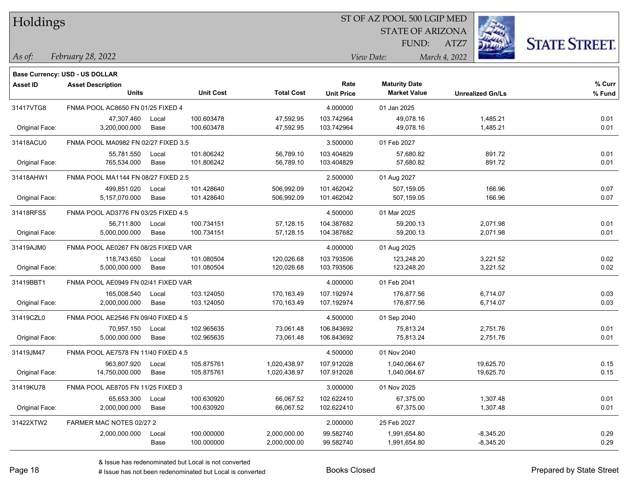| Holdings |
|----------|
|          |

STATE OF ARIZONA FUND:



*February 28, 2022 As of: View Date: March 4, 2022*

**Base Currency: USD - US DOLLAR**

ATZ7

| Asset ID       | <b>Asset Description</b>            |       |                  |                   | Rate              | <b>Maturity Date</b> |                         | % Curr |
|----------------|-------------------------------------|-------|------------------|-------------------|-------------------|----------------------|-------------------------|--------|
|                | <b>Units</b>                        |       | <b>Unit Cost</b> | <b>Total Cost</b> | <b>Unit Price</b> | <b>Market Value</b>  | <b>Unrealized Gn/Ls</b> | % Fund |
| 31417VTG8      | FNMA POOL AC8650 FN 01/25 FIXED 4   |       |                  |                   | 4.000000          | 01 Jan 2025          |                         |        |
|                | 47,307.460                          | Local | 100.603478       | 47,592.95         | 103.742964        | 49,078.16            | 1,485.21                | 0.01   |
| Original Face: | 3,200,000.000                       | Base  | 100.603478       | 47,592.95         | 103.742964        | 49,078.16            | 1,485.21                | 0.01   |
| 31418ACU0      | FNMA POOL MA0982 FN 02/27 FIXED 3.5 |       |                  |                   | 3.500000          | 01 Feb 2027          |                         |        |
|                | 55,781.550                          | Local | 101.806242       | 56,789.10         | 103.404829        | 57,680.82            | 891.72                  | 0.01   |
| Original Face: | 765,534.000                         | Base  | 101.806242       | 56,789.10         | 103.404829        | 57,680.82            | 891.72                  | 0.01   |
| 31418AHW1      | FNMA POOL MA1144 FN 08/27 FIXED 2.5 |       |                  |                   | 2.500000          | 01 Aug 2027          |                         |        |
|                | 499,851.020                         | Local | 101.428640       | 506,992.09        | 101.462042        | 507,159.05           | 166.96                  | 0.07   |
| Original Face: | 5,157,070.000                       | Base  | 101.428640       | 506,992.09        | 101.462042        | 507,159.05           | 166.96                  | 0.07   |
| 31418RFS5      | FNMA POOL AD3776 FN 03/25 FIXED 4.5 |       |                  |                   | 4.500000          | 01 Mar 2025          |                         |        |
|                | 56,711.800                          | Local | 100.734151       | 57,128.15         | 104.387682        | 59,200.13            | 2,071.98                | 0.01   |
| Original Face: | 5,000,000.000                       | Base  | 100.734151       | 57,128.15         | 104.387682        | 59,200.13            | 2,071.98                | 0.01   |
| 31419AJM0      | FNMA POOL AE0267 FN 08/25 FIXED VAR |       |                  |                   | 4.000000          | 01 Aug 2025          |                         |        |
|                | 118,743.650                         | Local | 101.080504       | 120,026.68        | 103.793506        | 123,248.20           | 3,221.52                | 0.02   |
| Original Face: | 5,000,000.000                       | Base  | 101.080504       | 120,026.68        | 103.793506        | 123,248.20           | 3,221.52                | 0.02   |
| 31419BBT1      | FNMA POOL AE0949 FN 02/41 FIXED VAR |       |                  |                   | 4.000000          | 01 Feb 2041          |                         |        |
|                | 165,008.540                         | Local | 103.124050       | 170,163.49        | 107.192974        | 176,877.56           | 6,714.07                | 0.03   |
| Original Face: | 2,000,000.000                       | Base  | 103.124050       | 170,163.49        | 107.192974        | 176,877.56           | 6,714.07                | 0.03   |
| 31419CZL0      | FNMA POOL AE2546 FN 09/40 FIXED 4.5 |       |                  |                   | 4.500000          | 01 Sep 2040          |                         |        |
|                | 70,957.150                          | Local | 102.965635       | 73,061.48         | 106.843692        | 75,813.24            | 2,751.76                | 0.01   |
| Original Face: | 5,000,000.000                       | Base  | 102.965635       | 73.061.48         | 106.843692        | 75,813.24            | 2,751.76                | 0.01   |
| 31419JM47      | FNMA POOL AE7578 FN 11/40 FIXED 4.5 |       |                  |                   | 4.500000          | 01 Nov 2040          |                         |        |
|                | 963,807.920                         | Local | 105.875761       | 1,020,438.97      | 107.912028        | 1,040,064.67         | 19,625.70               | 0.15   |
| Original Face: | 14,750,000.000                      | Base  | 105.875761       | 1,020,438.97      | 107.912028        | 1,040,064.67         | 19,625.70               | 0.15   |
| 31419KU78      | FNMA POOL AE8705 FN 11/25 FIXED 3   |       |                  |                   | 3.000000          | 01 Nov 2025          |                         |        |
|                | 65,653.300                          | Local | 100.630920       | 66,067.52         | 102.622410        | 67,375.00            | 1,307.48                | 0.01   |
| Original Face: | 2,000,000.000                       | Base  | 100.630920       | 66,067.52         | 102.622410        | 67,375.00            | 1,307.48                | 0.01   |
| 31422XTW2      | FARMER MAC NOTES 02/27 2            |       |                  |                   | 2.000000          | 25 Feb 2027          |                         |        |
|                | 2,000,000.000                       | Local | 100.000000       | 2,000,000.00      | 99.582740         | 1,991,654.80         | $-8,345.20$             | 0.29   |
|                |                                     | Base  | 100.000000       | 2,000,000.00      | 99.582740         | 1,991,654.80         | $-8,345.20$             | 0.29   |

# Issue has not been redenominated but Local is converted Books Closed Prepared by State Street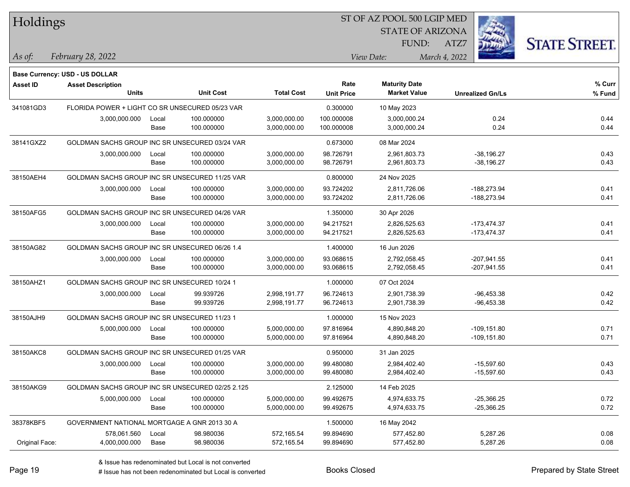| Holdings        |                                                  |       |                  |                   |                   | ST OF AZ POOL 500 LGIP MED |                         |                      |
|-----------------|--------------------------------------------------|-------|------------------|-------------------|-------------------|----------------------------|-------------------------|----------------------|
|                 |                                                  |       |                  |                   |                   | <b>STATE OF ARIZONA</b>    |                         |                      |
|                 |                                                  |       |                  |                   |                   | FUND:                      | ATZ7                    | <b>STATE STREET.</b> |
| As of:          | February 28, 2022                                |       |                  |                   |                   | View Date:                 | March 4, 2022           |                      |
|                 | <b>Base Currency: USD - US DOLLAR</b>            |       |                  |                   |                   |                            |                         |                      |
| <b>Asset ID</b> | <b>Asset Description</b>                         |       |                  |                   | Rate              | <b>Maturity Date</b>       |                         | % Curr               |
|                 | <b>Units</b>                                     |       | <b>Unit Cost</b> | <b>Total Cost</b> | <b>Unit Price</b> | <b>Market Value</b>        | <b>Unrealized Gn/Ls</b> | % Fund               |
| 341081GD3       | FLORIDA POWER + LIGHT CO SR UNSECURED 05/23 VAR  |       |                  |                   | 0.300000          | 10 May 2023                |                         |                      |
|                 | 3,000,000.000                                    | Local | 100.000000       | 3,000,000.00      | 100.000008        | 3,000,000.24               | 0.24                    | 0.44                 |
|                 |                                                  | Base  | 100.000000       | 3,000,000.00      | 100.000008        | 3,000,000.24               | 0.24                    | 0.44                 |
| 38141GXZ2       | GOLDMAN SACHS GROUP INC SR UNSECURED 03/24 VAR   |       |                  |                   | 0.673000          | 08 Mar 2024                |                         |                      |
|                 | 3,000,000.000                                    | Local | 100.000000       | 3,000,000.00      | 98.726791         | 2,961,803.73               | $-38,196.27$            | 0.43                 |
|                 |                                                  | Base  | 100.000000       | 3,000,000.00      | 98.726791         | 2,961,803.73               | $-38,196.27$            | 0.43                 |
| 38150AEH4       | GOLDMAN SACHS GROUP INC SR UNSECURED 11/25 VAR   |       |                  |                   | 0.800000          | 24 Nov 2025                |                         |                      |
|                 | 3,000,000.000                                    | Local | 100.000000       | 3,000,000.00      | 93.724202         | 2,811,726.06               | -188,273.94             | 0.41                 |
|                 |                                                  | Base  | 100.000000       | 3,000,000.00      | 93.724202         | 2,811,726.06               | -188,273.94             | 0.41                 |
| 38150AFG5       | GOLDMAN SACHS GROUP INC SR UNSECURED 04/26 VAR   |       |                  |                   | 1.350000          | 30 Apr 2026                |                         |                      |
|                 | 3,000,000.000                                    | Local | 100.000000       | 3,000,000.00      | 94.217521         | 2,826,525.63               | $-173,474.37$           | 0.41                 |
|                 |                                                  | Base  | 100.000000       | 3,000,000.00      | 94.217521         | 2,826,525.63               | -173,474.37             | 0.41                 |
| 38150AG82       | GOLDMAN SACHS GROUP INC SR UNSECURED 06/26 1.4   |       |                  |                   | 1.400000          | 16 Jun 2026                |                         |                      |
|                 | 3,000,000.000                                    | Local | 100.000000       | 3,000,000.00      | 93.068615         | 2,792,058.45               | $-207,941.55$           | 0.41                 |
|                 |                                                  | Base  | 100.000000       | 3,000,000.00      | 93.068615         | 2,792,058.45               | $-207,941.55$           | 0.41                 |
| 38150AHZ1       | GOLDMAN SACHS GROUP INC SR UNSECURED 10/24 1     |       |                  |                   | 1.000000          | 07 Oct 2024                |                         |                      |
|                 | 3,000,000.000                                    | Local | 99.939726        | 2,998,191.77      | 96.724613         | 2,901,738.39               | $-96,453.38$            | 0.42                 |
|                 |                                                  | Base  | 99.939726        | 2,998,191.77      | 96.724613         | 2,901,738.39               | $-96,453.38$            | 0.42                 |
| 38150AJH9       | GOLDMAN SACHS GROUP INC SR UNSECURED 11/23 1     |       |                  |                   | 1.000000          | 15 Nov 2023                |                         |                      |
|                 | 5,000,000.000                                    | Local | 100.000000       | 5,000,000.00      | 97.816964         | 4,890,848.20               | $-109, 151.80$          | 0.71                 |
|                 |                                                  | Base  | 100.000000       | 5,000,000.00      | 97.816964         | 4,890,848.20               | $-109, 151.80$          | 0.71                 |
| 38150AKC8       | GOLDMAN SACHS GROUP INC SR UNSECURED 01/25 VAR   |       |                  |                   | 0.950000          | 31 Jan 2025                |                         |                      |
|                 | 3,000,000.000                                    | Local | 100.000000       | 3,000,000.00      | 99.480080         | 2,984,402.40               | $-15,597.60$            | 0.43                 |
|                 |                                                  | Base  | 100.000000       | 3,000,000.00      | 99.480080         | 2,984,402.40               | $-15,597.60$            | 0.43                 |
| 38150AKG9       | GOLDMAN SACHS GROUP INC SR UNSECURED 02/25 2.125 |       |                  |                   | 2.125000          | 14 Feb 2025                |                         |                      |
|                 | 5,000,000.000                                    | Local | 100.000000       | 5,000,000.00      | 99.492675         | 4,974,633.75               | $-25,366.25$            | 0.72                 |
|                 |                                                  | Base  | 100.000000       | 5,000,000.00      | 99.492675         | 4,974,633.75               | $-25,366.25$            | 0.72                 |
| 38378KBF5       | GOVERNMENT NATIONAL MORTGAGE A GNR 2013 30 A     |       |                  |                   | 1.500000          | 16 May 2042                |                         |                      |
|                 | 578,061.560                                      | Local | 98.980036        | 572,165.54        | 99.894690         | 577,452.80                 | 5,287.26                | 0.08                 |
| Original Face:  | 4,000,000.000                                    | Base  | 98.980036        | 572,165.54        | 99.894690         | 577,452.80                 | 5,287.26                | 0.08                 |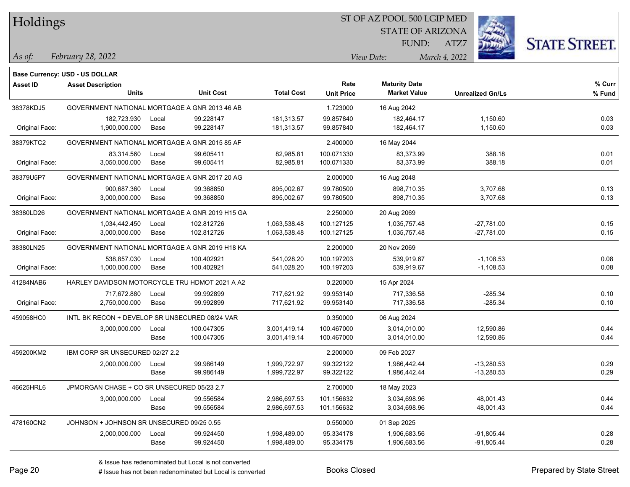| Holdings |
|----------|
|          |

STATE OF ARIZONA FUND:

ATZ7



*February 28, 2022 As of: View Date: March 4, 2022*

|                 | <b>Base Currency: USD - US DOLLAR</b>          |       |                  |                   |                   |                      |                         |        |
|-----------------|------------------------------------------------|-------|------------------|-------------------|-------------------|----------------------|-------------------------|--------|
| <b>Asset ID</b> | <b>Asset Description</b>                       |       |                  |                   | Rate              | <b>Maturity Date</b> |                         | % Curr |
|                 | <b>Units</b>                                   |       | <b>Unit Cost</b> | <b>Total Cost</b> | <b>Unit Price</b> | <b>Market Value</b>  | <b>Unrealized Gn/Ls</b> | % Fund |
| 38378KDJ5       | GOVERNMENT NATIONAL MORTGAGE A GNR 2013 46 AB  |       |                  |                   | 1.723000          | 16 Aug 2042          |                         |        |
|                 | 182,723.930                                    | Local | 99.228147        | 181,313.57        | 99.857840         | 182,464.17           | 1,150.60                | 0.03   |
| Original Face:  | 1,900,000.000                                  | Base  | 99.228147        | 181,313.57        | 99.857840         | 182,464.17           | 1,150.60                | 0.03   |
| 38379KTC2       | GOVERNMENT NATIONAL MORTGAGE A GNR 2015 85 AF  |       |                  |                   | 2.400000          | 16 May 2044          |                         |        |
|                 | 83,314.560                                     | Local | 99.605411        | 82,985.81         | 100.071330        | 83,373.99            | 388.18                  | 0.01   |
| Original Face:  | 3,050,000.000                                  | Base  | 99.605411        | 82,985.81         | 100.071330        | 83,373.99            | 388.18                  | 0.01   |
| 38379U5P7       | GOVERNMENT NATIONAL MORTGAGE A GNR 2017 20 AG  |       |                  |                   | 2.000000          | 16 Aug 2048          |                         |        |
|                 | 900,687.360                                    | Local | 99.368850        | 895,002.67        | 99.780500         | 898,710.35           | 3,707.68                | 0.13   |
| Original Face:  | 3,000,000.000                                  | Base  | 99.368850        | 895,002.67        | 99.780500         | 898,710.35           | 3,707.68                | 0.13   |
| 38380LD26       | GOVERNMENT NATIONAL MORTGAGE A GNR 2019 H15 GA |       |                  |                   | 2.250000          | 20 Aug 2069          |                         |        |
|                 | 1,034,442.450                                  | Local | 102.812726       | 1,063,538.48      | 100.127125        | 1,035,757.48         | $-27,781.00$            | 0.15   |
| Original Face:  | 3,000,000.000                                  | Base  | 102.812726       | 1,063,538.48      | 100.127125        | 1,035,757.48         | $-27,781.00$            | 0.15   |
| 38380LN25       | GOVERNMENT NATIONAL MORTGAGE A GNR 2019 H18 KA |       |                  |                   | 2.200000          | 20 Nov 2069          |                         |        |
|                 | 538,857.030                                    | Local | 100.402921       | 541,028.20        | 100.197203        | 539,919.67           | $-1,108.53$             | 0.08   |
| Original Face:  | 1,000,000.000                                  | Base  | 100.402921       | 541,028.20        | 100.197203        | 539,919.67           | $-1,108.53$             | 0.08   |
| 41284NAB6       | HARLEY DAVIDSON MOTORCYCLE TRU HDMOT 2021 A A2 |       |                  |                   | 0.220000          | 15 Apr 2024          |                         |        |
|                 | 717,672.880                                    | Local | 99.992899        | 717,621.92        | 99.953140         | 717,336.58           | $-285.34$               | 0.10   |
| Original Face:  | 2,750,000.000                                  | Base  | 99.992899        | 717,621.92        | 99.953140         | 717,336.58           | $-285.34$               | 0.10   |
| 459058HC0       | INTL BK RECON + DEVELOP SR UNSECURED 08/24 VAR |       |                  |                   | 0.350000          | 06 Aug 2024          |                         |        |
|                 | 3,000,000.000                                  | Local | 100.047305       | 3,001,419.14      | 100.467000        | 3,014,010.00         | 12,590.86               | 0.44   |
|                 |                                                | Base  | 100.047305       | 3,001,419.14      | 100.467000        | 3,014,010.00         | 12,590.86               | 0.44   |
| 459200KM2       | IBM CORP SR UNSECURED 02/27 2.2                |       |                  |                   | 2.200000          | 09 Feb 2027          |                         |        |
|                 | 2,000,000.000                                  | Local | 99.986149        | 1,999,722.97      | 99.322122         | 1,986,442.44         | $-13,280.53$            | 0.29   |
|                 |                                                | Base  | 99.986149        | 1,999,722.97      | 99.322122         | 1,986,442.44         | $-13,280.53$            | 0.29   |
| 46625HRL6       | JPMORGAN CHASE + CO SR UNSECURED 05/23 2.7     |       |                  |                   | 2.700000          | 18 May 2023          |                         |        |
|                 | 3,000,000.000                                  | Local | 99.556584        | 2,986,697.53      | 101.156632        | 3,034,698.96         | 48,001.43               | 0.44   |
|                 |                                                | Base  | 99.556584        | 2,986,697.53      | 101.156632        | 3,034,698.96         | 48,001.43               | 0.44   |
| 478160CN2       | JOHNSON + JOHNSON SR UNSECURED 09/25 0.55      |       |                  |                   | 0.550000          | 01 Sep 2025          |                         |        |
|                 | 2,000,000.000                                  | Local | 99.924450        | 1,998,489.00      | 95.334178         | 1,906,683.56         | $-91,805.44$            | 0.28   |
|                 |                                                | Base  | 99.924450        | 1,998,489.00      | 95.334178         | 1,906,683.56         | $-91,805.44$            | 0.28   |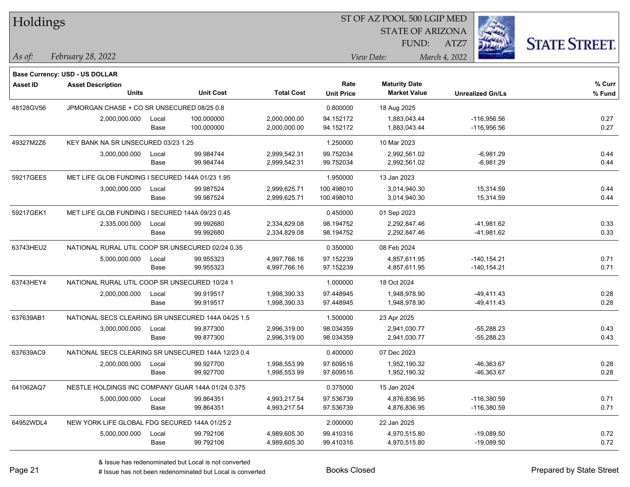| Holdings        |                                                            |       |                  |                   |                   | ST OF AZ POOL 500 LGIP MED |                         |                      |
|-----------------|------------------------------------------------------------|-------|------------------|-------------------|-------------------|----------------------------|-------------------------|----------------------|
|                 |                                                            |       |                  |                   |                   | <b>STATE OF ARIZONA</b>    |                         |                      |
|                 |                                                            |       |                  |                   |                   | FUND:                      | ATZ7                    | <b>STATE STREET.</b> |
| $\vert$ As of:  | February 28, 2022                                          |       |                  |                   |                   | View Date:                 | March 4, 2022           |                      |
|                 |                                                            |       |                  |                   |                   |                            |                         |                      |
| <b>Asset ID</b> | Base Currency: USD - US DOLLAR<br><b>Asset Description</b> |       |                  |                   | Rate              | <b>Maturity Date</b>       |                         | $%$ Curr             |
|                 | <b>Units</b>                                               |       | <b>Unit Cost</b> | <b>Total Cost</b> | <b>Unit Price</b> | <b>Market Value</b>        | <b>Unrealized Gn/Ls</b> | % Fund               |
| 48128GV56       | JPMORGAN CHASE + CO SR UNSECURED 08/25 0.8                 |       |                  |                   | 0.800000          | 18 Aug 2025                |                         |                      |
|                 | 2,000,000.000                                              | Local | 100.000000       | 2,000,000.00      | 94.152172         | 1.883.043.44               | -116,956.56             | 0.27                 |
|                 |                                                            | Base  | 100.000000       | 2,000,000.00      | 94.152172         | 1,883,043.44               | $-116,956.56$           | 0.27                 |
| 49327M2Z6       | KEY BANK NA SR UNSECURED 03/23 1.25                        |       |                  |                   | 1.250000          | 10 Mar 2023                |                         |                      |
|                 | 3,000,000.000                                              | Local | 99.984744        | 2,999,542.31      | 99.752034         | 2,992,561.02               | $-6,981.29$             | 0.44                 |
|                 |                                                            | Base  | 99.984744        | 2,999,542.31      | 99.752034         | 2,992,561.02               | $-6,981.29$             | 0.44                 |
| 59217GEE5       | MET LIFE GLOB FUNDING I SECURED 144A 01/23 1.95            |       |                  |                   | 1.950000          | 13 Jan 2023                |                         |                      |
|                 | 3,000,000.000                                              | Local | 99.987524        | 2,999,625.71      | 100.498010        | 3,014,940.30               | 15,314.59               | 0.44                 |
|                 |                                                            | Base  | 99.987524        | 2,999,625.71      | 100.498010        | 3,014,940.30               | 15,314.59               | 0.44                 |
| 59217GEK1       | MET LIFE GLOB FUNDING I SECURED 144A 09/23 0.45            |       |                  |                   | 0.450000          | 01 Sep 2023                |                         |                      |
|                 | 2,335,000.000                                              | Local | 99.992680        | 2.334.829.08      | 98.194752         | 2,292,847.46               | -41,981.62              | 0.33                 |
|                 |                                                            | Base  | 99.992680        | 2,334,829.08      | 98.194752         | 2,292,847.46               | $-41,981.62$            | 0.33                 |
| 63743HEU2       | NATIONAL RURAL UTIL COOP SR UNSECURED 02/24 0.35           |       |                  |                   | 0.350000          | 08 Feb 2024                |                         |                      |
|                 | 5,000,000.000                                              | Local | 99.955323        | 4,997,766.16      | 97.152239         | 4,857,611.95               | $-140, 154.21$          | 0.71                 |
|                 |                                                            | Base  | 99.955323        | 4,997,766.16      | 97.152239         | 4,857,611.95               | $-140, 154.21$          | 0.71                 |
| 63743HEY4       | NATIONAL RURAL UTIL COOP SR UNSECURED 10/24 1              |       |                  |                   | 1.000000          | 18 Oct 2024                |                         |                      |
|                 | 2,000,000.000                                              | Local | 99.919517        | 1,998,390.33      | 97.448945         | 1,948,978.90               | $-49,411.43$            | 0.28                 |
|                 |                                                            | Base  | 99.919517        | 1,998,390.33      | 97.448945         | 1,948,978.90               | -49,411.43              | 0.28                 |
| 637639AB1       | NATIONAL SECS CLEARING SR UNSECURED 144A 04/25 1.5         |       |                  |                   | 1.500000          | 23 Apr 2025                |                         |                      |
|                 | 3,000,000.000                                              | Local | 99.877300        | 2,996,319.00      | 98.034359         | 2,941,030.77               | $-55,288.23$            | 0.43                 |
|                 |                                                            | Base  | 99.877300        | 2,996,319.00      | 98.034359         | 2,941,030.77               | $-55,288.23$            | 0.43                 |
| 637639AC9       | NATIONAL SECS CLEARING SR UNSECURED 144A 12/23 0.4         |       |                  |                   | 0.400000          | 07 Dec 2023                |                         |                      |
|                 | 2,000,000.000                                              | Local | 99.927700        | 1,998,553.99      | 97.609516         | 1,952,190.32               | -46,363.67              | 0.28                 |
|                 |                                                            | Base  | 99.927700        | 1,998,553.99      | 97.609516         | 1,952,190.32               | -46,363.67              | 0.28                 |
| 641062AQ7       | NESTLE HOLDINGS INC COMPANY GUAR 144A 01/24 0.375          |       |                  |                   | 0.375000          | 15 Jan 2024                |                         |                      |
|                 | 5,000,000.000                                              | Local | 99.864351        | 4,993,217.54      | 97.536739         | 4,876,836.95               | $-116,380.59$           | 0.71                 |
|                 |                                                            | Base  | 99.864351        | 4,993,217.54      | 97.536739         | 4,876,836.95               | -116,380.59             | 0.71                 |
| 64952WDL4       | NEW YORK LIFE GLOBAL FDG SECURED 144A 01/25 2              |       |                  |                   | 2.000000          | 22 Jan 2025                |                         |                      |
|                 | 5,000,000.000                                              | Local | 99.792106        | 4,989,605.30      | 99.410316         | 4,970,515.80               | $-19,089.50$            | 0.72                 |
|                 |                                                            | Base  | 99.792106        | 4,989,605.30      | 99.410316         | 4,970,515.80               | $-19,089.50$            | 0.72                 |

# Issue has not been redenominated but Local is converted Books Closed Prepared by State Street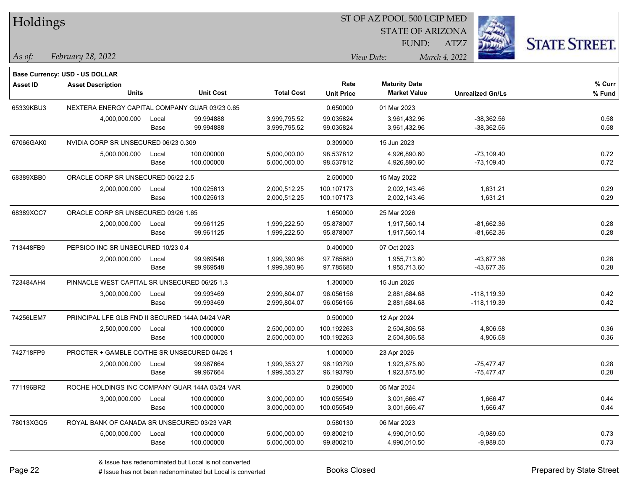| Holdings        |                                                                   |       |                  |                   |                   | ST OF AZ POOL 500 LGIP MED |                         |                      |
|-----------------|-------------------------------------------------------------------|-------|------------------|-------------------|-------------------|----------------------------|-------------------------|----------------------|
|                 |                                                                   |       |                  |                   |                   | <b>STATE OF ARIZONA</b>    |                         |                      |
|                 |                                                                   |       |                  |                   |                   | FUND:                      | ATZ7                    | <b>STATE STREET.</b> |
| $\vert$ As of:  | February 28, 2022                                                 |       |                  |                   |                   | View Date:                 | March 4, 2022           |                      |
|                 |                                                                   |       |                  |                   |                   |                            |                         |                      |
| <b>Asset ID</b> | <b>Base Currency: USD - US DOLLAR</b><br><b>Asset Description</b> |       |                  |                   | Rate              | <b>Maturity Date</b>       |                         | % Curr               |
|                 | <b>Units</b>                                                      |       | <b>Unit Cost</b> | <b>Total Cost</b> | <b>Unit Price</b> | <b>Market Value</b>        | <b>Unrealized Gn/Ls</b> | % Fund               |
| 65339KBU3       | NEXTERA ENERGY CAPITAL COMPANY GUAR 03/23 0.65                    |       |                  |                   | 0.650000          | 01 Mar 2023                |                         |                      |
|                 | 4,000,000.000                                                     | Local | 99.994888        | 3,999,795.52      | 99.035824         | 3,961,432.96               | $-38,362.56$            | 0.58                 |
|                 |                                                                   | Base  | 99.994888        | 3,999,795.52      | 99.035824         | 3,961,432.96               | $-38,362.56$            | 0.58                 |
| 67066GAK0       | NVIDIA CORP SR UNSECURED 06/23 0.309                              |       |                  |                   | 0.309000          | 15 Jun 2023                |                         |                      |
|                 | 5,000,000.000                                                     | Local | 100.000000       | 5,000,000.00      | 98.537812         | 4,926,890.60               | $-73,109.40$            | 0.72                 |
|                 |                                                                   | Base  | 100.000000       | 5,000,000.00      | 98.537812         | 4,926,890.60               | $-73,109.40$            | 0.72                 |
| 68389XBB0       | ORACLE CORP SR UNSECURED 05/22 2.5                                |       |                  |                   | 2.500000          | 15 May 2022                |                         |                      |
|                 | 2,000,000.000                                                     | Local | 100.025613       | 2,000,512.25      | 100.107173        | 2,002,143.46               | 1,631.21                | 0.29                 |
|                 |                                                                   | Base  | 100.025613       | 2,000,512.25      | 100.107173        | 2,002,143.46               | 1,631.21                | 0.29                 |
| 68389XCC7       | ORACLE CORP SR UNSECURED 03/26 1.65                               |       |                  |                   | 1.650000          | 25 Mar 2026                |                         |                      |
|                 | 2,000,000.000                                                     | Local | 99.961125        | 1,999,222.50      | 95.878007         | 1,917,560.14               | $-81,662.36$            | 0.28                 |
|                 |                                                                   | Base  | 99.961125        | 1,999,222.50      | 95.878007         | 1,917,560.14               | $-81,662.36$            | 0.28                 |
| 713448FB9       | PEPSICO INC SR UNSECURED 10/23 0.4                                |       |                  |                   | 0.400000          | 07 Oct 2023                |                         |                      |
|                 | 2,000,000.000                                                     | Local | 99.969548        | 1,999,390.96      | 97.785680         | 1,955,713.60               | -43,677.36              | 0.28                 |
|                 |                                                                   | Base  | 99.969548        | 1,999,390.96      | 97.785680         | 1,955,713.60               | -43,677.36              | 0.28                 |
| 723484AH4       | PINNACLE WEST CAPITAL SR UNSECURED 06/25 1.3                      |       |                  |                   | 1.300000          | 15 Jun 2025                |                         |                      |
|                 | 3,000,000.000                                                     | Local | 99.993469        | 2,999,804.07      | 96.056156         | 2,881,684.68               | $-118, 119.39$          | 0.42                 |
|                 |                                                                   | Base  | 99.993469        | 2,999,804.07      | 96.056156         | 2,881,684.68               | -118,119.39             | 0.42                 |
| 74256LEM7       | PRINCIPAL LFE GLB FND II SECURED 144A 04/24 VAR                   |       |                  |                   | 0.500000          | 12 Apr 2024                |                         |                      |
|                 | 2,500,000.000                                                     | Local | 100.000000       | 2,500,000.00      | 100.192263        | 2,504,806.58               | 4,806.58                | 0.36                 |
|                 |                                                                   | Base  | 100.000000       | 2,500,000.00      | 100.192263        | 2,504,806.58               | 4,806.58                | 0.36                 |
| 742718FP9       | PROCTER + GAMBLE CO/THE SR UNSECURED 04/26 1                      |       |                  |                   | 1.000000          | 23 Apr 2026                |                         |                      |
|                 | 2,000,000.000                                                     | Local | 99.967664        | 1,999,353.27      | 96.193790         | 1,923,875.80               | $-75,477.47$            | 0.28                 |
|                 |                                                                   | Base  | 99.967664        | 1,999,353.27      | 96.193790         | 1,923,875.80               | $-75,477.47$            | 0.28                 |
| 771196BR2       | ROCHE HOLDINGS INC COMPANY GUAR 144A 03/24 VAR                    |       |                  |                   | 0.290000          | 05 Mar 2024                |                         |                      |
|                 | 3,000,000.000                                                     | Local | 100.000000       | 3,000,000.00      | 100.055549        | 3,001,666.47               | 1,666.47                | 0.44                 |
|                 |                                                                   | Base  | 100.000000       | 3,000,000.00      | 100.055549        | 3,001,666.47               | 1,666.47                | 0.44                 |
| 78013XGQ5       | ROYAL BANK OF CANADA SR UNSECURED 03/23 VAR                       |       |                  |                   | 0.580130          | 06 Mar 2023                |                         |                      |
|                 | 5,000,000.000                                                     | Local | 100.000000       | 5,000,000.00      | 99.800210         | 4,990,010.50               | $-9,989.50$             | 0.73                 |
|                 |                                                                   | Base  | 100.000000       | 5,000,000.00      | 99.800210         | 4,990,010.50               | $-9,989.50$             | 0.73                 |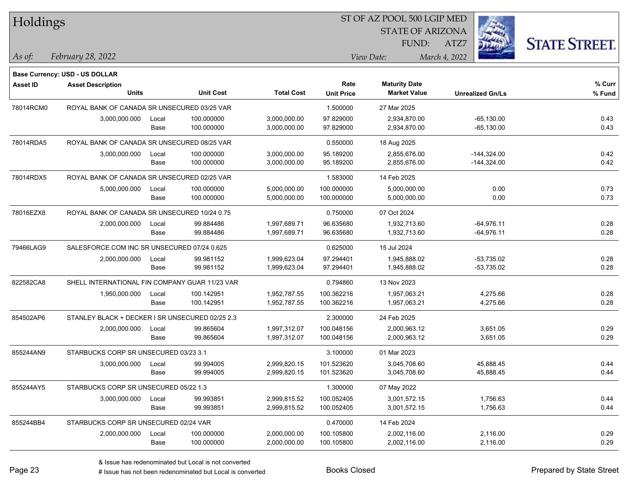| Holdings        |                                                 |       |                  |                   |                   | ST OF AZ POOL 500 LGIP MED |                         |                      |
|-----------------|-------------------------------------------------|-------|------------------|-------------------|-------------------|----------------------------|-------------------------|----------------------|
|                 |                                                 |       |                  |                   |                   | <b>STATE OF ARIZONA</b>    |                         |                      |
|                 |                                                 |       |                  |                   |                   | FUND:                      | ATZ7                    | <b>STATE STREET.</b> |
| As of:          | February 28, 2022                               |       |                  |                   |                   | View Date:                 | March 4, 2022           |                      |
|                 | <b>Base Currency: USD - US DOLLAR</b>           |       |                  |                   |                   |                            |                         |                      |
| <b>Asset ID</b> | <b>Asset Description</b>                        |       |                  |                   | Rate              | <b>Maturity Date</b>       |                         | % Curr               |
|                 | <b>Units</b>                                    |       | <b>Unit Cost</b> | <b>Total Cost</b> | <b>Unit Price</b> | <b>Market Value</b>        | <b>Unrealized Gn/Ls</b> | % Fund               |
| 78014RCM0       | ROYAL BANK OF CANADA SR UNSECURED 03/25 VAR     |       |                  |                   | 1.500000          | 27 Mar 2025                |                         |                      |
|                 | 3,000,000.000                                   | Local | 100.000000       | 3,000,000.00      | 97.829000         | 2,934,870.00               | $-65,130.00$            | 0.43                 |
|                 |                                                 | Base  | 100.000000       | 3,000,000.00      | 97.829000         | 2,934,870.00               | $-65,130.00$            | 0.43                 |
| 78014RDA5       | ROYAL BANK OF CANADA SR UNSECURED 08/25 VAR     |       |                  |                   | 0.550000          | 18 Aug 2025                |                         |                      |
|                 | 3,000,000.000                                   | Local | 100.000000       | 3,000,000.00      | 95.189200         | 2,855,676.00               | $-144,324.00$           | 0.42                 |
|                 |                                                 | Base  | 100.000000       | 3,000,000.00      | 95.189200         | 2,855,676.00               | $-144,324.00$           | 0.42                 |
| 78014RDX5       | ROYAL BANK OF CANADA SR UNSECURED 02/25 VAR     |       |                  |                   | 1.583000          | 14 Feb 2025                |                         |                      |
|                 | 5,000,000.000                                   | Local | 100.000000       | 5,000,000.00      | 100.000000        | 5,000,000.00               | 0.00                    | 0.73                 |
|                 |                                                 | Base  | 100.000000       | 5,000,000.00      | 100.000000        | 5,000,000.00               | 0.00                    | 0.73                 |
| 78016EZX8       | ROYAL BANK OF CANADA SR UNSECURED 10/24 0.75    |       |                  |                   | 0.750000          | 07 Oct 2024                |                         |                      |
|                 | 2,000,000.000                                   | Local | 99.884486        | 1,997,689.71      | 96.635680         | 1,932,713.60               | $-64,976.11$            | 0.28                 |
|                 |                                                 | Base  | 99.884486        | 1,997,689.71      | 96.635680         | 1,932,713.60               | $-64,976.11$            | 0.28                 |
| 79466LAG9       | SALESFORCE.COM INC SR UNSECURED 07/24 0.625     |       |                  |                   | 0.625000          | 15 Jul 2024                |                         |                      |
|                 | 2,000,000.000                                   | Local | 99.981152        | 1,999,623.04      | 97.294401         | 1,945,888.02               | $-53,735.02$            | 0.28                 |
|                 |                                                 | Base  | 99.981152        | 1,999,623.04      | 97.294401         | 1,945,888.02               | $-53,735.02$            | 0.28                 |
| 822582CA8       | SHELL INTERNATIONAL FIN COMPANY GUAR 11/23 VAR  |       |                  |                   | 0.794860          | 13 Nov 2023                |                         |                      |
|                 | 1,950,000.000                                   | Local | 100.142951       | 1,952,787.55      | 100.362216        | 1,957,063.21               | 4,275.66                | 0.28                 |
|                 |                                                 | Base  | 100.142951       | 1,952,787.55      | 100.362216        | 1,957,063.21               | 4,275.66                | 0.28                 |
| 854502AP6       | STANLEY BLACK + DECKER I SR UNSECURED 02/25 2.3 |       |                  |                   | 2.300000          | 24 Feb 2025                |                         |                      |
|                 | 2,000,000.000                                   | Local | 99.865604        | 1,997,312.07      | 100.048156        | 2,000,963.12               | 3,651.05                | 0.29                 |
|                 |                                                 | Base  | 99.865604        | 1,997,312.07      | 100.048156        | 2,000,963.12               | 3,651.05                | 0.29                 |
| 855244AN9       | STARBUCKS CORP SR UNSECURED 03/23 3.1           |       |                  |                   | 3.100000          | 01 Mar 2023                |                         |                      |
|                 | 3,000,000.000                                   | Local | 99.994005        | 2.999.820.15      | 101.523620        | 3,045,708.60               | 45,888.45               | 0.44                 |
|                 |                                                 | Base  | 99.994005        | 2,999,820.15      | 101.523620        | 3,045,708.60               | 45,888.45               | 0.44                 |
| 855244AY5       | STARBUCKS CORP SR UNSECURED 05/22 1.3           |       |                  |                   | 1.300000          | 07 May 2022                |                         |                      |
|                 | 3,000,000.000                                   | Local | 99.993851        | 2,999,815.52      | 100.052405        | 3,001,572.15               | 1,756.63                | 0.44                 |
|                 |                                                 | Base  | 99.993851        | 2,999,815.52      | 100.052405        | 3,001,572.15               | 1,756.63                | 0.44                 |
| 855244BB4       | STARBUCKS CORP SR UNSECURED 02/24 VAR           |       |                  |                   | 0.470000          | 14 Feb 2024                |                         |                      |
|                 | 2,000,000.000                                   | Local | 100.000000       | 2,000,000.00      | 100.105800        | 2,002,116.00               | 2,116.00                | 0.29                 |
|                 |                                                 | Base  | 100.000000       | 2,000,000.00      | 100.105800        | 2,002,116.00               | 2,116.00                | 0.29                 |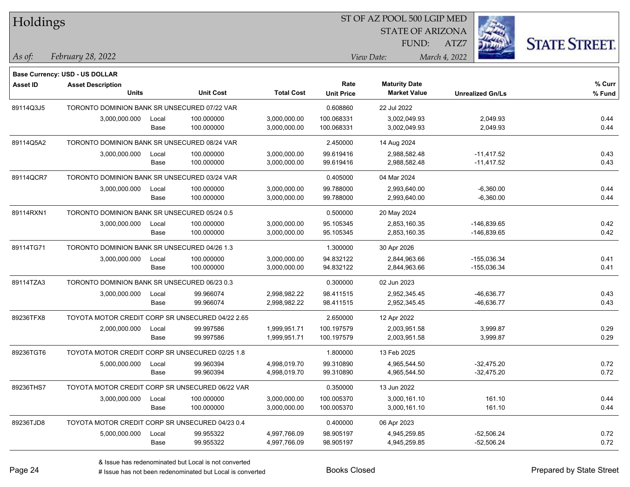| Holdings        |                                                  |       |                  |                   | 51 OF AZ POOL 500 LGIP MED |                         |                         |                      |  |  |
|-----------------|--------------------------------------------------|-------|------------------|-------------------|----------------------------|-------------------------|-------------------------|----------------------|--|--|
|                 |                                                  |       |                  |                   |                            | <b>STATE OF ARIZONA</b> | Ż.                      |                      |  |  |
|                 |                                                  |       |                  |                   |                            | FUND:                   | ATZ7                    | <b>STATE STREET.</b> |  |  |
| As of:          | February 28, 2022                                |       |                  |                   |                            | View Date:              | March 4, 2022           |                      |  |  |
|                 | Base Currency: USD - US DOLLAR                   |       |                  |                   |                            |                         |                         |                      |  |  |
| <b>Asset ID</b> | <b>Asset Description</b>                         |       |                  |                   | Rate                       | <b>Maturity Date</b>    |                         | % Curr               |  |  |
|                 | <b>Units</b>                                     |       | <b>Unit Cost</b> | <b>Total Cost</b> | <b>Unit Price</b>          | <b>Market Value</b>     | <b>Unrealized Gn/Ls</b> | % Fund               |  |  |
| 89114Q3J5       | TORONTO DOMINION BANK SR UNSECURED 07/22 VAR     |       |                  |                   | 0.608860                   | 22 Jul 2022             |                         |                      |  |  |
|                 | 3,000,000.000                                    | Local | 100.000000       | 3,000,000.00      | 100.068331                 | 3,002,049.93            | 2,049.93                | 0.44                 |  |  |
|                 |                                                  | Base  | 100.000000       | 3,000,000.00      | 100.068331                 | 3,002,049.93            | 2,049.93                | 0.44                 |  |  |
| 89114Q5A2       | TORONTO DOMINION BANK SR UNSECURED 08/24 VAR     |       |                  |                   | 2.450000                   | 14 Aug 2024             |                         |                      |  |  |
|                 | 3,000,000.000                                    | Local | 100.000000       | 3,000,000.00      | 99.619416                  | 2,988,582.48            | $-11,417.52$            | 0.43                 |  |  |
|                 |                                                  | Base  | 100.000000       | 3,000,000.00      | 99.619416                  | 2,988,582.48            | $-11,417.52$            | 0.43                 |  |  |
| 89114QCR7       | TORONTO DOMINION BANK SR UNSECURED 03/24 VAR     |       |                  |                   | 0.405000                   | 04 Mar 2024             |                         |                      |  |  |
|                 | 3,000,000.000                                    | Local | 100.000000       | 3,000,000.00      | 99.788000                  | 2,993,640.00            | $-6,360.00$             | 0.44                 |  |  |
|                 |                                                  | Base  | 100.000000       | 3,000,000.00      | 99.788000                  | 2,993,640.00            | $-6,360.00$             | 0.44                 |  |  |
| 89114RXN1       | TORONTO DOMINION BANK SR UNSECURED 05/24 0.5     |       |                  |                   | 0.500000                   | 20 May 2024             |                         |                      |  |  |
|                 | 3,000,000.000                                    | Local | 100.000000       | 3,000,000.00      | 95.105345                  | 2,853,160.35            | -146,839.65             | 0.42                 |  |  |
|                 |                                                  | Base  | 100.000000       | 3,000,000.00      | 95.105345                  | 2,853,160.35            | -146,839.65             | 0.42                 |  |  |
| 89114TG71       | TORONTO DOMINION BANK SR UNSECURED 04/26 1.3     |       |                  |                   | 1.300000                   | 30 Apr 2026             |                         |                      |  |  |
|                 | 3,000,000.000                                    | Local | 100.000000       | 3,000,000.00      | 94.832122                  | 2,844,963.66            | -155,036.34             | 0.41                 |  |  |
|                 |                                                  | Base  | 100.000000       | 3,000,000.00      | 94.832122                  | 2,844,963.66            | $-155,036.34$           | 0.41                 |  |  |
| 89114TZA3       | TORONTO DOMINION BANK SR UNSECURED 06/23 0.3     |       |                  |                   | 0.300000                   | 02 Jun 2023             |                         |                      |  |  |
|                 | 3,000,000.000                                    | Local | 99.966074        | 2,998,982.22      | 98.411515                  | 2,952,345.45            | -46,636.77              | 0.43                 |  |  |
|                 |                                                  | Base  | 99.966074        | 2,998,982.22      | 98.411515                  | 2,952,345.45            | -46,636.77              | 0.43                 |  |  |
| 89236TFX8       | TOYOTA MOTOR CREDIT CORP SR UNSECURED 04/22 2.65 |       |                  |                   | 2.650000                   | 12 Apr 2022             |                         |                      |  |  |
|                 | 2,000,000.000                                    | Local | 99.997586        | 1,999,951.71      | 100.197579                 | 2,003,951.58            | 3,999.87                | 0.29                 |  |  |
|                 |                                                  | Base  | 99.997586        | 1,999,951.71      | 100.197579                 | 2,003,951.58            | 3,999.87                | 0.29                 |  |  |
| 89236TGT6       | TOYOTA MOTOR CREDIT CORP SR UNSECURED 02/25 1.8  |       |                  |                   | 1.800000                   | 13 Feb 2025             |                         |                      |  |  |
|                 | 5,000,000.000                                    | Local | 99.960394        | 4,998,019.70      | 99.310890                  | 4,965,544.50            | $-32,475.20$            | 0.72                 |  |  |
|                 |                                                  | Base  | 99.960394        | 4,998,019.70      | 99.310890                  | 4,965,544.50            | $-32,475.20$            | 0.72                 |  |  |
| 89236THS7       | TOYOTA MOTOR CREDIT CORP SR UNSECURED 06/22 VAR  |       |                  |                   | 0.350000                   | 13 Jun 2022             |                         |                      |  |  |
|                 | 3,000,000.000                                    | Local | 100.000000       | 3,000,000.00      | 100.005370                 | 3,000,161.10            | 161.10                  | 0.44                 |  |  |
|                 |                                                  | Base  | 100.000000       | 3,000,000.00      | 100.005370                 | 3,000,161.10            | 161.10                  | 0.44                 |  |  |
| 89236TJD8       | TOYOTA MOTOR CREDIT CORP SR UNSECURED 04/23 0.4  |       |                  |                   | 0.400000                   | 06 Apr 2023             |                         |                      |  |  |
|                 | 5,000,000.000                                    | Local | 99.955322        | 4,997,766.09      | 98.905197                  | 4,945,259.85            | $-52,506.24$            | 0.72                 |  |  |
|                 |                                                  | Base  | 99.955322        | 4,997,766.09      | 98.905197                  | 4,945,259.85            | $-52,506.24$            | 0.72                 |  |  |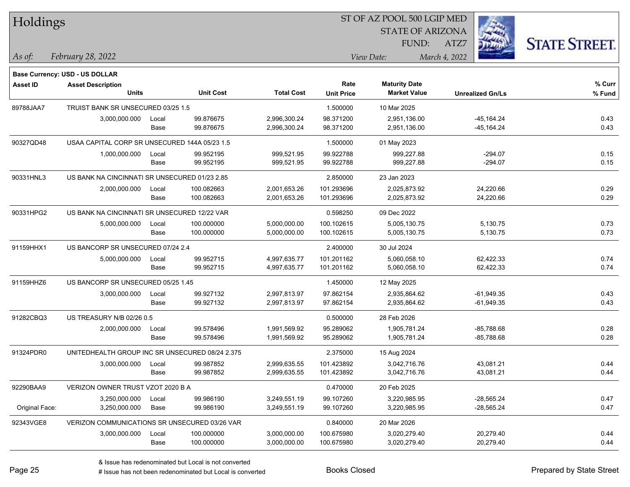| Holdings        |                                                 |       |                  |                   | ST OF AZ POOL 500 LGIP MED |                         |                         |                      |  |  |
|-----------------|-------------------------------------------------|-------|------------------|-------------------|----------------------------|-------------------------|-------------------------|----------------------|--|--|
|                 |                                                 |       |                  |                   |                            | <b>STATE OF ARIZONA</b> |                         |                      |  |  |
|                 |                                                 |       |                  |                   |                            | FUND:                   | ATZ7                    | <b>STATE STREET.</b> |  |  |
| As of:          | February 28, 2022                               |       |                  |                   |                            | View Date:              | March 4, 2022           |                      |  |  |
|                 |                                                 |       |                  |                   |                            |                         |                         |                      |  |  |
|                 | <b>Base Currency: USD - US DOLLAR</b>           |       |                  |                   |                            |                         |                         |                      |  |  |
| <b>Asset ID</b> | <b>Asset Description</b>                        |       |                  |                   | Rate                       | <b>Maturity Date</b>    |                         | % Curr               |  |  |
|                 | <b>Units</b>                                    |       | <b>Unit Cost</b> | <b>Total Cost</b> | <b>Unit Price</b>          | <b>Market Value</b>     | <b>Unrealized Gn/Ls</b> | % Fund               |  |  |
| 89788JAA7       | TRUIST BANK SR UNSECURED 03/25 1.5              |       |                  |                   | 1.500000                   | 10 Mar 2025             |                         |                      |  |  |
|                 | 3,000,000.000                                   | Local | 99.876675        | 2,996,300.24      | 98.371200                  | 2,951,136.00            | $-45, 164.24$           | 0.43                 |  |  |
|                 |                                                 | Base  | 99.876675        | 2,996,300.24      | 98.371200                  | 2,951,136.00            | $-45, 164.24$           | 0.43                 |  |  |
| 90327QD48       | USAA CAPITAL CORP SR UNSECURED 144A 05/23 1.5   |       |                  |                   | 1.500000                   | 01 May 2023             |                         |                      |  |  |
|                 | 1,000,000.000                                   | Local | 99.952195        | 999,521.95        | 99.922788                  | 999,227.88              | $-294.07$               | 0.15                 |  |  |
|                 |                                                 | Base  | 99.952195        | 999,521.95        | 99.922788                  | 999,227.88              | $-294.07$               | 0.15                 |  |  |
| 90331HNL3       | US BANK NA CINCINNATI SR UNSECURED 01/23 2.85   |       |                  |                   | 2.850000                   | 23 Jan 2023             |                         |                      |  |  |
|                 | 2,000,000.000                                   | Local | 100.082663       | 2,001,653.26      | 101.293696                 | 2,025,873.92            | 24,220.66               | 0.29                 |  |  |
|                 |                                                 | Base  | 100.082663       | 2,001,653.26      | 101.293696                 | 2,025,873.92            | 24,220.66               | 0.29                 |  |  |
| 90331HPG2       | US BANK NA CINCINNATI SR UNSECURED 12/22 VAR    |       |                  |                   | 0.598250                   | 09 Dec 2022             |                         |                      |  |  |
|                 | 5,000,000.000                                   | Local | 100.000000       | 5,000,000.00      | 100.102615                 | 5,005,130.75            | 5,130.75                | 0.73                 |  |  |
|                 |                                                 | Base  | 100.000000       | 5,000,000.00      | 100.102615                 | 5,005,130.75            | 5,130.75                | 0.73                 |  |  |
| 91159HHX1       | US BANCORP SR UNSECURED 07/24 2.4               |       |                  |                   | 2.400000                   | 30 Jul 2024             |                         |                      |  |  |
|                 | 5,000,000.000                                   | Local | 99.952715        | 4,997,635.77      | 101.201162                 | 5,060,058.10            | 62,422.33               | 0.74                 |  |  |
|                 |                                                 | Base  | 99.952715        | 4,997,635.77      | 101.201162                 | 5,060,058.10            | 62,422.33               | 0.74                 |  |  |
| 91159HHZ6       | US BANCORP SR UNSECURED 05/25 1.45              |       |                  |                   | 1.450000                   | 12 May 2025             |                         |                      |  |  |
|                 | 3,000,000.000                                   | Local | 99.927132        | 2,997,813.97      | 97.862154                  | 2,935,864.62            | $-61,949.35$            | 0.43                 |  |  |
|                 |                                                 | Base  | 99.927132        | 2,997,813.97      | 97.862154                  | 2,935,864.62            | $-61,949.35$            | 0.43                 |  |  |
| 91282CBQ3       | US TREASURY N/B 02/26 0.5                       |       |                  |                   | 0.500000                   | 28 Feb 2026             |                         |                      |  |  |
|                 | 2,000,000.000                                   | Local | 99.578496        | 1,991,569.92      | 95.289062                  | 1,905,781.24            | $-85,788.68$            | 0.28                 |  |  |
|                 |                                                 | Base  | 99.578496        | 1,991,569.92      | 95.289062                  | 1,905,781.24            | $-85,788.68$            | 0.28                 |  |  |
| 91324PDR0       | UNITEDHEALTH GROUP INC SR UNSECURED 08/24 2.375 |       |                  |                   | 2.375000                   | 15 Aug 2024             |                         |                      |  |  |
|                 | 3,000,000.000                                   | Local | 99.987852        | 2,999,635.55      | 101.423892                 | 3,042,716.76            | 43,081.21               | 0.44                 |  |  |
|                 |                                                 | Base  | 99.987852        | 2,999,635.55      | 101.423892                 | 3,042,716.76            | 43,081.21               | 0.44                 |  |  |
| 92290BAA9       | VERIZON OWNER TRUST VZOT 2020 B A               |       |                  |                   | 0.470000                   | 20 Feb 2025             |                         |                      |  |  |
|                 | 3,250,000.000                                   | Local | 99.986190        | 3,249,551.19      | 99.107260                  | 3,220,985.95            | $-28,565.24$            | 0.47                 |  |  |
| Original Face:  | 3,250,000.000                                   | Base  | 99.986190        | 3,249,551.19      | 99.107260                  | 3,220,985.95            | $-28,565.24$            | 0.47                 |  |  |
| 92343VGE8       | VERIZON COMMUNICATIONS SR UNSECURED 03/26 VAR   |       |                  |                   | 0.840000                   | 20 Mar 2026             |                         |                      |  |  |
|                 | 3,000,000.000                                   | Local | 100.000000       | 3,000,000.00      | 100.675980                 | 3,020,279.40            | 20,279.40               | 0.44                 |  |  |
|                 |                                                 | Base  | 100.000000       | 3,000,000.00      | 100.675980                 | 3,020,279.40            | 20,279.40               | 0.44                 |  |  |
|                 |                                                 |       |                  |                   |                            |                         |                         |                      |  |  |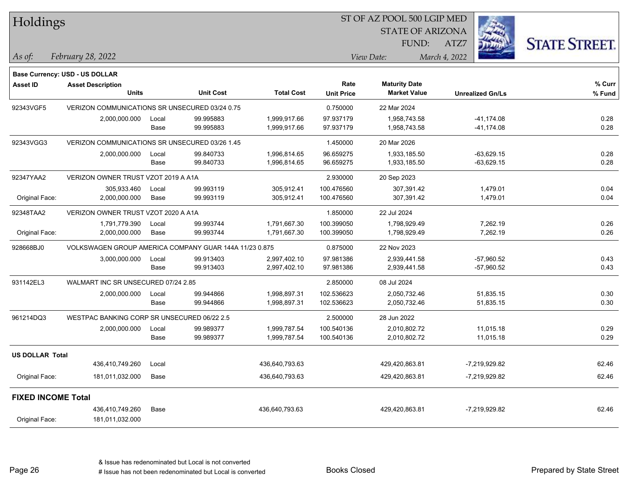| Holdings                  |                                                        |               |                        |                              | ST OF AZ POOL 500 LGIP MED |                              |                              |                      |
|---------------------------|--------------------------------------------------------|---------------|------------------------|------------------------------|----------------------------|------------------------------|------------------------------|----------------------|
|                           |                                                        |               |                        |                              |                            | <b>STATE OF ARIZONA</b>      |                              |                      |
|                           |                                                        |               |                        |                              |                            | FUND:                        | ATZ7                         | <b>STATE STREET.</b> |
| As of:                    | February 28, 2022                                      |               |                        |                              |                            | View Date:                   | March 4, 2022                |                      |
|                           | <b>Base Currency: USD - US DOLLAR</b>                  |               |                        |                              |                            |                              |                              |                      |
| <b>Asset ID</b>           | <b>Asset Description</b>                               |               |                        |                              | Rate                       | <b>Maturity Date</b>         |                              | % Curr               |
|                           | <b>Units</b>                                           |               | <b>Unit Cost</b>       | <b>Total Cost</b>            | <b>Unit Price</b>          | <b>Market Value</b>          | <b>Unrealized Gn/Ls</b>      | % Fund               |
| 92343VGF5                 | VERIZON COMMUNICATIONS SR UNSECURED 03/24 0.75         |               |                        |                              | 0.750000                   | 22 Mar 2024                  |                              |                      |
|                           | 2,000,000.000                                          | Local<br>Base | 99.995883<br>99.995883 | 1,999,917.66<br>1,999,917.66 | 97.937179<br>97.937179     | 1,958,743.58<br>1,958,743.58 | -41,174.08<br>-41,174.08     | 0.28<br>0.28         |
| 92343VGG3                 | VERIZON COMMUNICATIONS SR UNSECURED 03/26 1.45         |               |                        |                              | 1.450000                   | 20 Mar 2026                  |                              |                      |
|                           | 2,000,000.000                                          | Local<br>Base | 99.840733<br>99.840733 | 1,996,814.65<br>1,996,814.65 | 96.659275<br>96.659275     | 1,933,185.50<br>1,933,185.50 | $-63,629.15$<br>$-63,629.15$ | 0.28<br>0.28         |
| 92347YAA2                 | VERIZON OWNER TRUST VZOT 2019 A A1A                    |               |                        |                              | 2.930000                   | 20 Sep 2023                  |                              |                      |
| Original Face:            | 305,933.460<br>2,000,000.000                           | Local<br>Base | 99.993119<br>99.993119 | 305,912.41<br>305,912.41     | 100.476560<br>100.476560   | 307,391.42<br>307,391.42     | 1,479.01<br>1,479.01         | 0.04<br>0.04         |
| 92348TAA2                 | VERIZON OWNER TRUST VZOT 2020 A A1A                    |               |                        |                              | 1.850000                   | 22 Jul 2024                  |                              |                      |
|                           | 1,791,779.390                                          | Local         | 99.993744              | 1,791,667.30                 | 100.399050                 | 1,798,929.49                 | 7,262.19                     | 0.26                 |
| Original Face:            | 2,000,000.000                                          | Base          | 99.993744              | 1,791,667.30                 | 100.399050                 | 1,798,929.49                 | 7,262.19                     | 0.26                 |
| 928668BJ0                 | VOLKSWAGEN GROUP AMERICA COMPANY GUAR 144A 11/23 0.875 |               |                        |                              | 0.875000                   | 22 Nov 2023                  |                              |                      |
|                           | 3,000,000.000                                          | Local<br>Base | 99.913403<br>99.913403 | 2,997,402.10<br>2,997,402.10 | 97.981386<br>97.981386     | 2,939,441.58<br>2,939,441.58 | $-57,960.52$<br>$-57,960.52$ | 0.43<br>0.43         |
| 931142EL3                 | WALMART INC SR UNSECURED 07/24 2.85                    |               |                        |                              | 2.850000                   | 08 Jul 2024                  |                              |                      |
|                           | 2,000,000.000                                          | Local<br>Base | 99.944866<br>99.944866 | 1,998,897.31<br>1,998,897.31 | 102.536623<br>102.536623   | 2,050,732.46<br>2,050,732.46 | 51,835.15<br>51,835.15       | 0.30<br>0.30         |
| 961214DQ3                 | WESTPAC BANKING CORP SR UNSECURED 06/22 2.5            |               |                        |                              | 2.500000                   | 28 Jun 2022                  |                              |                      |
|                           | 2,000,000.000                                          | Local<br>Base | 99.989377<br>99.989377 | 1,999,787.54<br>1,999,787.54 | 100.540136<br>100.540136   | 2,010,802.72<br>2,010,802.72 | 11,015.18<br>11,015.18       | 0.29<br>0.29         |
| <b>US DOLLAR Total</b>    |                                                        |               |                        |                              |                            |                              |                              |                      |
|                           | 436,410,749.260                                        | Local         |                        | 436,640,793.63               |                            | 429,420,863.81               | -7,219,929.82                | 62.46                |
| Original Face:            | 181,011,032.000                                        | Base          |                        | 436,640,793.63               |                            | 429,420,863.81               | -7,219,929.82                | 62.46                |
| <b>FIXED INCOME Total</b> |                                                        |               |                        |                              |                            |                              |                              |                      |
| Original Face:            | 436,410,749.260<br>181,011,032.000                     | Base          |                        | 436,640,793.63               |                            | 429,420,863.81               | -7,219,929.82                | 62.46                |

Page 26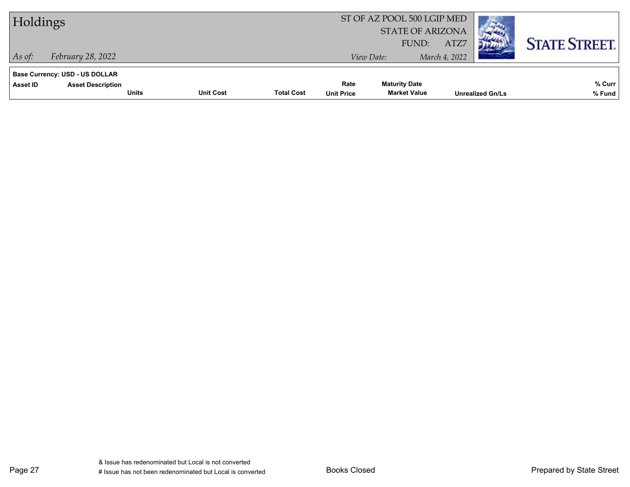| Holdings |                                                                   |                                  |                   |                   | ST OF AZ POOL 500 LGIP MED<br><b>STATE OF ARIZONA</b> |                       |                         |                      |
|----------|-------------------------------------------------------------------|----------------------------------|-------------------|-------------------|-------------------------------------------------------|-----------------------|-------------------------|----------------------|
| As of:   | February 28, 2022                                                 |                                  |                   |                   | FUND:<br>View Date:                                   | ATZ7<br>March 4, 2022 |                         | <b>STATE STREET.</b> |
| Asset ID | <b>Base Currency: USD - US DOLLAR</b><br><b>Asset Description</b> |                                  |                   | Rate              | <b>Maturity Date</b>                                  |                       |                         | % Curr               |
|          |                                                                   | <b>Unit Cost</b><br><b>Units</b> | <b>Total Cost</b> | <b>Unit Price</b> | <b>Market Value</b>                                   |                       | <b>Unrealized Gn/Ls</b> | % Fund               |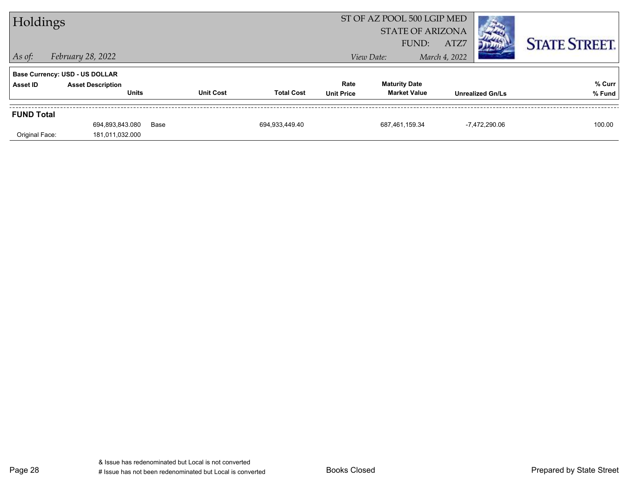| Holdings          |                                          |      |                                       |                           | ST OF AZ POOL 500 LGIP MED<br><b>STATE OF ARIZONA</b> |                         |                      |
|-------------------|------------------------------------------|------|---------------------------------------|---------------------------|-------------------------------------------------------|-------------------------|----------------------|
| $\vert$ As of:    | February 28, 2022                        |      |                                       |                           | FUND:<br>View Date:                                   | ATZ7<br>March 4, 2022   | <b>STATE STREET.</b> |
|                   | <b>Base Currency: USD - US DOLLAR</b>    |      |                                       |                           |                                                       |                         |                      |
| Asset ID          | <b>Asset Description</b><br><b>Units</b> |      | <b>Unit Cost</b><br><b>Total Cost</b> | Rate<br><b>Unit Price</b> | <b>Maturity Date</b><br><b>Market Value</b>           | <b>Unrealized Gn/Ls</b> | % Curr<br>% Fund     |
| <b>FUND Total</b> |                                          |      |                                       |                           |                                                       |                         |                      |
|                   | 694,893,843.080                          | Base | 694.933.449.40                        |                           | 687,461,159.34                                        | $-7.472.290.06$         | 100.00               |
| Original Face:    | 181,011,032.000                          |      |                                       |                           |                                                       |                         |                      |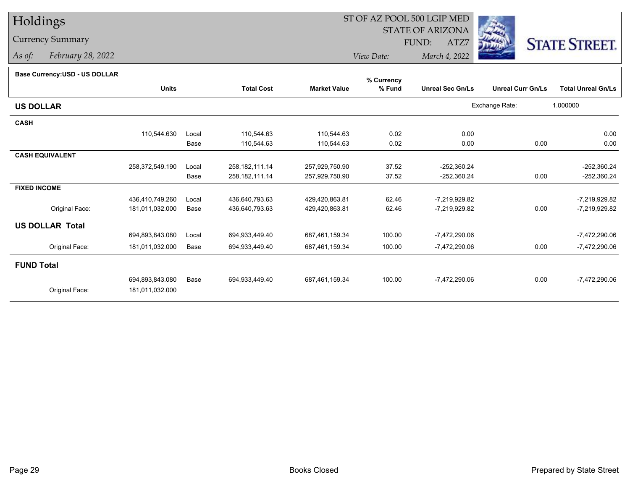# Holdings

### Currency Summary

*As of: February 28, 2022*

## ST OF AZ POOL 500 LGIP MED

 STATE OF ARIZONAFUND:

ATZ7



*View Date:March 4, 2022*

#### **Base Currency:USD - US DOLLAR**

|                        |                 |       |                   |                     | % Currency |                         |                          |                           |
|------------------------|-----------------|-------|-------------------|---------------------|------------|-------------------------|--------------------------|---------------------------|
|                        | <b>Units</b>    |       | <b>Total Cost</b> | <b>Market Value</b> | % Fund     | <b>Unreal Sec Gn/Ls</b> | <b>Unreal Curr Gn/Ls</b> | <b>Total Unreal Gn/Ls</b> |
| <b>US DOLLAR</b>       |                 |       |                   |                     |            |                         | Exchange Rate:           | 1.000000                  |
| <b>CASH</b>            |                 |       |                   |                     |            |                         |                          |                           |
|                        | 110,544.630     | Local | 110,544.63        | 110,544.63          | 0.02       | 0.00                    |                          | 0.00                      |
|                        |                 | Base  | 110,544.63        | 110,544.63          | 0.02       | 0.00                    | 0.00                     | 0.00                      |
| <b>CASH EQUIVALENT</b> |                 |       |                   |                     |            |                         |                          |                           |
|                        | 258,372,549.190 | Local | 258, 182, 111.14  | 257,929,750.90      | 37.52      | $-252,360.24$           |                          | $-252,360.24$             |
|                        |                 | Base  | 258, 182, 111.14  | 257,929,750.90      | 37.52      | $-252,360.24$           | 0.00                     | $-252,360.24$             |
| <b>FIXED INCOME</b>    |                 |       |                   |                     |            |                         |                          |                           |
|                        | 436,410,749.260 | Local | 436,640,793.63    | 429,420,863.81      | 62.46      | -7,219,929.82           |                          | $-7,219,929.82$           |
| Original Face:         | 181,011,032.000 | Base  | 436,640,793.63    | 429,420,863.81      | 62.46      | -7,219,929.82           | 0.00                     | -7,219,929.82             |
| <b>US DOLLAR Total</b> |                 |       |                   |                     |            |                         |                          |                           |
|                        | 694,893,843.080 | Local | 694,933,449.40    | 687,461,159.34      | 100.00     | -7,472,290.06           |                          | -7,472,290.06             |
| Original Face:         | 181,011,032.000 | Base  | 694,933,449.40    | 687,461,159.34      | 100.00     | $-7,472,290.06$         | 0.00                     | $-7,472,290.06$           |
| <b>FUND Total</b>      |                 |       |                   |                     |            |                         |                          |                           |
|                        | 694,893,843.080 | Base  | 694,933,449.40    | 687,461,159.34      | 100.00     | $-7,472,290.06$         | 0.00                     | $-7,472,290.06$           |
| Original Face:         | 181,011,032.000 |       |                   |                     |            |                         |                          |                           |
|                        |                 |       |                   |                     |            |                         |                          |                           |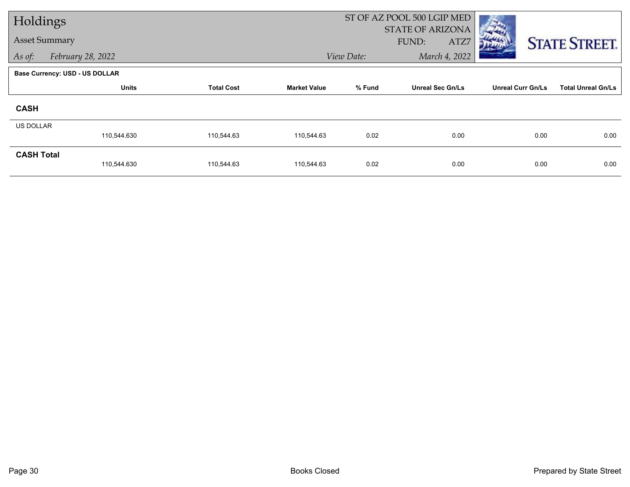| Holdings             |                                       |                   |                     |            | ST OF AZ POOL 500 LGIP MED               |                          |                           |
|----------------------|---------------------------------------|-------------------|---------------------|------------|------------------------------------------|--------------------------|---------------------------|
| <b>Asset Summary</b> |                                       |                   |                     |            | <b>STATE OF ARIZONA</b><br>FUND:<br>ATZ7 |                          |                           |
|                      |                                       |                   |                     |            |                                          |                          | <b>STATE STREET.</b>      |
| As of:               | February 28, 2022                     |                   |                     | View Date: | March 4, 2022                            |                          |                           |
|                      | <b>Base Currency: USD - US DOLLAR</b> |                   |                     |            |                                          |                          |                           |
|                      | <b>Units</b>                          | <b>Total Cost</b> | <b>Market Value</b> | % Fund     | <b>Unreal Sec Gn/Ls</b>                  | <b>Unreal Curr Gn/Ls</b> | <b>Total Unreal Gn/Ls</b> |
| <b>CASH</b>          |                                       |                   |                     |            |                                          |                          |                           |
| <b>US DOLLAR</b>     |                                       |                   |                     |            |                                          |                          |                           |
|                      | 110,544.630                           | 110,544.63        | 110,544.63          | 0.02       | 0.00                                     | 0.00                     | 0.00                      |
| <b>CASH Total</b>    |                                       |                   |                     |            |                                          |                          |                           |
|                      | 110,544.630                           | 110,544.63        | 110,544.63          | 0.02       | 0.00                                     | 0.00                     | 0.00                      |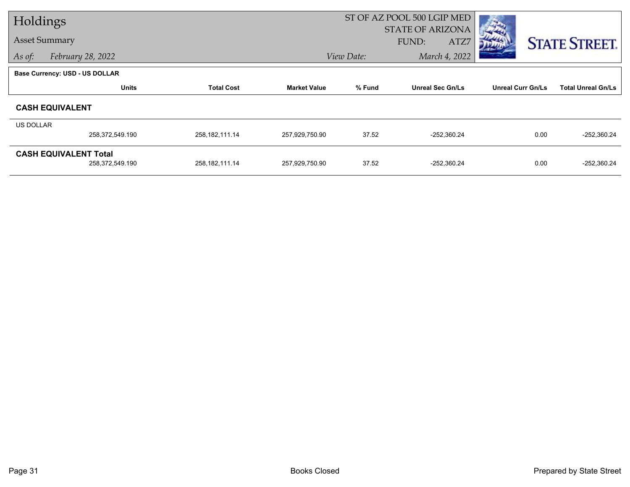| Holdings  |                                       |                   |                     |            | ST OF AZ POOL 500 LGIP MED        |                          |                           |
|-----------|---------------------------------------|-------------------|---------------------|------------|-----------------------------------|--------------------------|---------------------------|
|           | <b>Asset Summary</b>                  |                   |                     |            | STATE OF ARIZONA<br>FUND:<br>ATZ7 |                          | <b>STATE STREET.</b>      |
| As of:    | February 28, 2022                     |                   |                     | View Date: | March 4, 2022                     |                          |                           |
|           | <b>Base Currency: USD - US DOLLAR</b> |                   |                     |            |                                   |                          |                           |
|           | <b>Units</b>                          | <b>Total Cost</b> | <b>Market Value</b> | % Fund     | <b>Unreal Sec Gn/Ls</b>           | <b>Unreal Curr Gn/Ls</b> | <b>Total Unreal Gn/Ls</b> |
|           | <b>CASH EQUIVALENT</b>                |                   |                     |            |                                   |                          |                           |
| US DOLLAR |                                       |                   |                     |            |                                   |                          |                           |
|           | 258,372,549.190                       | 258, 182, 111.14  | 257,929,750.90      | 37.52      | $-252,360.24$                     | 0.00                     | $-252,360.24$             |
|           | <b>CASH EQUIVALENT Total</b>          |                   |                     |            |                                   |                          |                           |
|           | 258,372,549.190                       | 258, 182, 111.14  | 257,929,750.90      | 37.52      | $-252,360.24$                     | 0.00                     | $-252,360.24$             |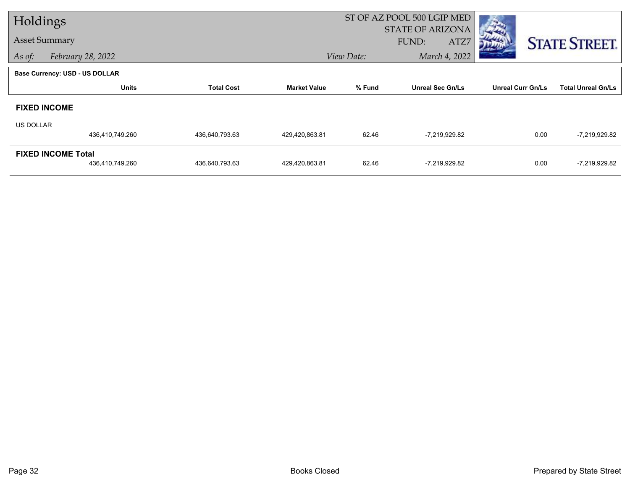| Holdings  |                                       |                   |                     |            | ST OF AZ POOL 500 LGIP MED               |                          |                           |
|-----------|---------------------------------------|-------------------|---------------------|------------|------------------------------------------|--------------------------|---------------------------|
|           | <b>Asset Summary</b>                  |                   |                     |            | STATE OF ARIZONA<br><b>FUND:</b><br>ATZ7 |                          | <b>STATE STREET.</b>      |
| As of:    | February 28, 2022                     |                   |                     | View Date: | March 4, 2022                            |                          |                           |
|           | <b>Base Currency: USD - US DOLLAR</b> |                   |                     |            |                                          |                          |                           |
|           | <b>Units</b>                          | <b>Total Cost</b> | <b>Market Value</b> | % Fund     | <b>Unreal Sec Gn/Ls</b>                  | <b>Unreal Curr Gn/Ls</b> | <b>Total Unreal Gn/Ls</b> |
|           | <b>FIXED INCOME</b>                   |                   |                     |            |                                          |                          |                           |
| US DOLLAR |                                       |                   |                     |            |                                          |                          |                           |
|           | 436,410,749.260                       | 436,640,793.63    | 429,420,863.81      | 62.46      | -7,219,929.82                            | 0.00                     | $-7,219,929.82$           |
|           | <b>FIXED INCOME Total</b>             |                   |                     |            |                                          |                          |                           |
|           | 436,410,749.260                       | 436,640,793.63    | 429,420,863.81      | 62.46      | -7,219,929.82                            | 0.00                     | -7,219,929.82             |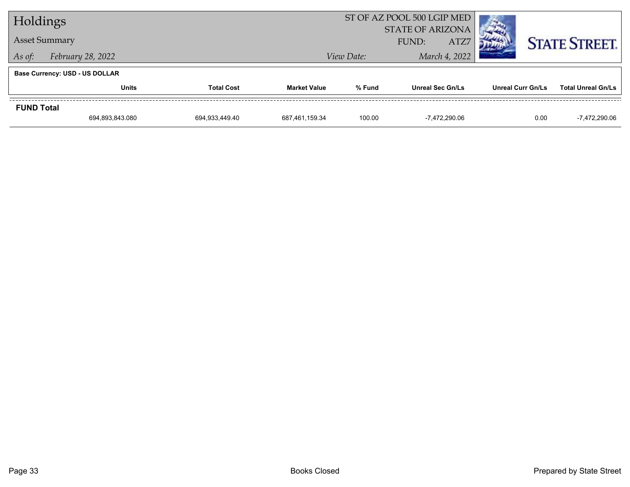| Holdings                              |                   |                   |                     | ST OF AZ POOL 500 LGIP MED               |                         |                          |                           |  |
|---------------------------------------|-------------------|-------------------|---------------------|------------------------------------------|-------------------------|--------------------------|---------------------------|--|
| <b>Asset Summary</b>                  |                   |                   |                     | <b>STATE OF ARIZONA</b><br>ATZ7<br>FUND: |                         |                          | <b>STATE STREET.</b>      |  |
| As of:                                | February 28, 2022 |                   |                     | View Date:                               | March 4, 2022           |                          |                           |  |
| <b>Base Currency: USD - US DOLLAR</b> |                   |                   |                     |                                          |                         |                          |                           |  |
|                                       | <b>Units</b>      | <b>Total Cost</b> | <b>Market Value</b> | % Fund                                   | <b>Unreal Sec Gn/Ls</b> | <b>Unreal Curr Gn/Ls</b> | <b>Total Unreal Gn/Ls</b> |  |
| <b>FUND Total</b>                     |                   |                   |                     |                                          |                         |                          |                           |  |
|                                       | 694,893,843.080   | 694,933,449.40    | 687,461,159.34      | 100.00                                   | -7,472,290.06           | 0.00                     | -7,472,290.06             |  |